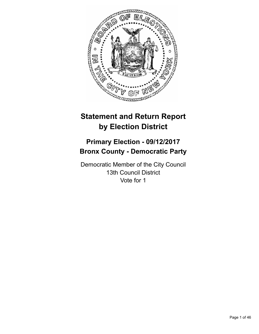

# **Statement and Return Report by Election District**

# **Primary Election - 09/12/2017 Bronx County - Democratic Party**

Democratic Member of the City Council 13th Council District Vote for 1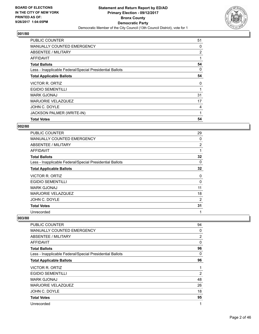

| <b>PUBLIC COUNTER</b>                                    | 51 |
|----------------------------------------------------------|----|
| <b>MANUALLY COUNTED EMERGENCY</b>                        | 0  |
| ABSENTEE / MILITARY                                      | 2  |
| AFFIDAVIT                                                |    |
| <b>Total Ballots</b>                                     | 54 |
| Less - Inapplicable Federal/Special Presidential Ballots | 0  |
| <b>Total Applicable Ballots</b>                          | 54 |
| VICTOR R. ORTIZ                                          | 0  |
| <b>EGIDIO SEMENTILLI</b>                                 |    |
| <b>MARK GJONAJ</b>                                       | 31 |
| <b>MARJORIE VELAZQUEZ</b>                                | 17 |
| JOHN C. DOYLE                                            | 4  |
| JACKSON PALMER (WRITE-IN)                                | 1  |
| <b>Total Votes</b>                                       | 54 |

# **002/80**

| <b>PUBLIC COUNTER</b>                                    | 29             |
|----------------------------------------------------------|----------------|
| <b>MANUALLY COUNTED EMERGENCY</b>                        | 0              |
| ABSENTEE / MILITARY                                      | $\overline{2}$ |
| <b>AFFIDAVIT</b>                                         | 1              |
| <b>Total Ballots</b>                                     | 32             |
| Less - Inapplicable Federal/Special Presidential Ballots | 0              |
| <b>Total Applicable Ballots</b>                          | 32             |
| VICTOR R. ORTIZ                                          | 0              |
| <b>EGIDIO SEMENTILLI</b>                                 | 0              |
| <b>MARK GJONAJ</b>                                       | 11             |
| <b>MARJORIE VELAZQUEZ</b>                                | 18             |
| JOHN C. DOYLE                                            | 2              |
| <b>Total Votes</b>                                       | 31             |
| Unrecorded                                               | 1              |

| PUBLIC COUNTER                                           | 94             |
|----------------------------------------------------------|----------------|
| <b>MANUALLY COUNTED EMERGENCY</b>                        | 0              |
| ABSENTEE / MILITARY                                      | 2              |
| AFFIDAVIT                                                | 0              |
| <b>Total Ballots</b>                                     | 96             |
| Less - Inapplicable Federal/Special Presidential Ballots | 0              |
| <b>Total Applicable Ballots</b>                          | 96             |
| <b>VICTOR R. ORTIZ</b>                                   | 1              |
| <b>EGIDIO SEMENTILLI</b>                                 | $\overline{2}$ |
| MARK GJONAJ                                              | 48             |
| <b>MARJORIE VELAZQUEZ</b>                                | 26             |
| JOHN C. DOYLE                                            | 18             |
| <b>Total Votes</b>                                       | 95             |
| Unrecorded                                               | 1              |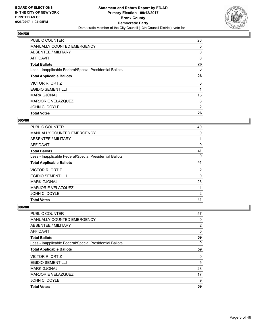

| <b>PUBLIC COUNTER</b>                                    | 26 |
|----------------------------------------------------------|----|
| <b>MANUALLY COUNTED EMERGENCY</b>                        | 0  |
| ABSENTEE / MILITARY                                      | 0  |
| <b>AFFIDAVIT</b>                                         | 0  |
| <b>Total Ballots</b>                                     | 26 |
| Less - Inapplicable Federal/Special Presidential Ballots | 0  |
| <b>Total Applicable Ballots</b>                          | 26 |
| VICTOR R. ORTIZ                                          | 0  |
| <b>EGIDIO SEMENTILLI</b>                                 |    |
| <b>MARK GJONAJ</b>                                       | 15 |
| <b>MARJORIE VELAZQUEZ</b>                                | 8  |
| JOHN C. DOYLE                                            | 2  |
| <b>Total Votes</b>                                       | 26 |

## **005/80**

| <b>PUBLIC COUNTER</b>                                    | 40           |
|----------------------------------------------------------|--------------|
| <b>MANUALLY COUNTED EMERGENCY</b>                        | $\mathbf{0}$ |
| ABSENTEE / MILITARY                                      |              |
| AFFIDAVIT                                                | 0            |
| <b>Total Ballots</b>                                     | 41           |
| Less - Inapplicable Federal/Special Presidential Ballots | 0            |
| <b>Total Applicable Ballots</b>                          | 41           |
| VICTOR R. ORTIZ                                          | 2            |
| <b>EGIDIO SEMENTILLI</b>                                 | 0            |
| <b>MARK GJONAJ</b>                                       | 26           |
| <b>MARJORIE VELAZQUEZ</b>                                | 11           |
| JOHN C. DOYLE                                            | 2            |
| <b>Total Votes</b>                                       | 41           |

| <b>Total Votes</b>                                       | 59             |
|----------------------------------------------------------|----------------|
| JOHN C. DOYLE                                            | 9              |
| <b>MARJORIE VELAZQUEZ</b>                                | 17             |
| <b>MARK GJONAJ</b>                                       | 28             |
| <b>EGIDIO SEMENTILLI</b>                                 | 5              |
| <b>VICTOR R. ORTIZ</b>                                   | 0              |
| <b>Total Applicable Ballots</b>                          | 59             |
| Less - Inapplicable Federal/Special Presidential Ballots | 0              |
| <b>Total Ballots</b>                                     | 59             |
| AFFIDAVIT                                                | 0              |
| ABSENTEE / MILITARY                                      | $\overline{2}$ |
| MANUALLY COUNTED EMERGENCY                               | 0              |
| PUBLIC COUNTER                                           | 57             |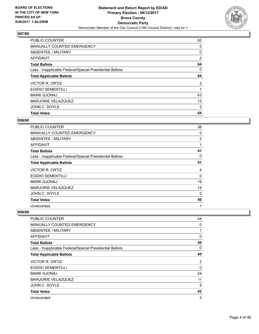

| <b>PUBLIC COUNTER</b>                                    | 62             |
|----------------------------------------------------------|----------------|
| <b>MANUALLY COUNTED EMERGENCY</b>                        | 0              |
| ABSENTEE / MILITARY                                      | 0              |
| AFFIDAVIT                                                | 2              |
| <b>Total Ballots</b>                                     | 64             |
| Less - Inapplicable Federal/Special Presidential Ballots | 0              |
| <b>Total Applicable Ballots</b>                          | 64             |
| VICTOR R. ORTIZ                                          | $\overline{2}$ |
| <b>EGIDIO SEMENTILLI</b>                                 |                |
| <b>MARK GJONAJ</b>                                       | 43             |
| <b>MARJORIE VELAZQUEZ</b>                                | 13             |
| JOHN C. DOYLE                                            | 5              |
| <b>Total Votes</b>                                       | 64             |

#### **008/80**

| PUBLIC COUNTER                                           | 38 |
|----------------------------------------------------------|----|
| <b>MANUALLY COUNTED EMERGENCY</b>                        | 0  |
| ABSENTEE / MILITARY                                      | 2  |
| <b>AFFIDAVIT</b>                                         | 1  |
| <b>Total Ballots</b>                                     | 41 |
| Less - Inapplicable Federal/Special Presidential Ballots | 0  |
| <b>Total Applicable Ballots</b>                          | 41 |
| <b>VICTOR R. ORTIZ</b>                                   | 4  |
| <b>EGIDIO SEMENTILLI</b>                                 | 0  |
| <b>MARK GJONAJ</b>                                       | 19 |
| <b>MARJORIE VELAZQUEZ</b>                                | 14 |
| JOHN C. DOYLE                                            | 3  |
| <b>Total Votes</b>                                       | 40 |
| Unrecorded                                               | 1  |

| <b>PUBLIC COUNTER</b>                                    | 44 |
|----------------------------------------------------------|----|
| MANUALLY COUNTED EMERGENCY                               | 0  |
| ABSENTEE / MILITARY                                      |    |
| AFFIDAVIT                                                | 0  |
| <b>Total Ballots</b>                                     | 45 |
| Less - Inapplicable Federal/Special Presidential Ballots | 0  |
| <b>Total Applicable Ballots</b>                          | 45 |
| <b>VICTOR R. ORTIZ</b>                                   | 2  |
| <b>EGIDIO SEMENTILLI</b>                                 | 0  |
| <b>MARK GJONAJ</b>                                       | 24 |
| <b>MARJORIE VELAZQUEZ</b>                                | 11 |
| JOHN C. DOYLE                                            | 5  |
| <b>Total Votes</b>                                       | 42 |
| Unrecorded                                               | 3  |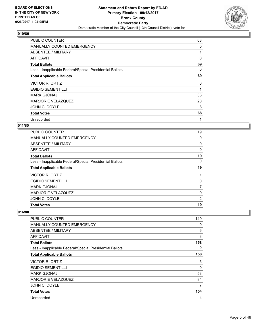

| <b>PUBLIC COUNTER</b>                                    | 68 |
|----------------------------------------------------------|----|
| <b>MANUALLY COUNTED EMERGENCY</b>                        | 0  |
| ABSENTEE / MILITARY                                      |    |
| AFFIDAVIT                                                | 0  |
| <b>Total Ballots</b>                                     | 69 |
| Less - Inapplicable Federal/Special Presidential Ballots | 0  |
| <b>Total Applicable Ballots</b>                          | 69 |
| <b>VICTOR R. ORTIZ</b>                                   | 6  |
| <b>EGIDIO SEMENTILLI</b>                                 | 1  |
| <b>MARK GJONAJ</b>                                       | 33 |
| MARJORIE VELAZQUEZ                                       | 20 |
| JOHN C. DOYLE                                            | 8  |
| <b>Total Votes</b>                                       | 68 |
| Unrecorded                                               | 1  |

## **011/80**

| <b>PUBLIC COUNTER</b>                                    | 19 |
|----------------------------------------------------------|----|
| MANUALLY COUNTED EMERGENCY                               | 0  |
| ABSENTEE / MILITARY                                      | 0  |
| AFFIDAVIT                                                | 0  |
| <b>Total Ballots</b>                                     | 19 |
| Less - Inapplicable Federal/Special Presidential Ballots | 0  |
| <b>Total Applicable Ballots</b>                          | 19 |
| VICTOR R. ORTIZ                                          |    |
| <b>EGIDIO SEMENTILLI</b>                                 | 0  |
| <b>MARK GJONAJ</b>                                       | 7  |
| <b>MARJORIE VELAZQUEZ</b>                                | 9  |
| JOHN C. DOYLE                                            | 2  |
| <b>Total Votes</b>                                       | 19 |

| <b>PUBLIC COUNTER</b>                                    | 149 |
|----------------------------------------------------------|-----|
| <b>MANUALLY COUNTED EMERGENCY</b>                        | 0   |
| ABSENTEE / MILITARY                                      | 6   |
| AFFIDAVIT                                                | 3   |
| <b>Total Ballots</b>                                     | 158 |
| Less - Inapplicable Federal/Special Presidential Ballots | 0   |
| <b>Total Applicable Ballots</b>                          | 158 |
| VICTOR R. ORTIZ                                          | 5   |
| <b>EGIDIO SEMENTILLI</b>                                 | 0   |
| <b>MARK GJONAJ</b>                                       | 58  |
| <b>MARJORIE VELAZQUEZ</b>                                | 84  |
| JOHN C. DOYLE                                            | 7   |
| <b>Total Votes</b>                                       | 154 |
| Unrecorded                                               | 4   |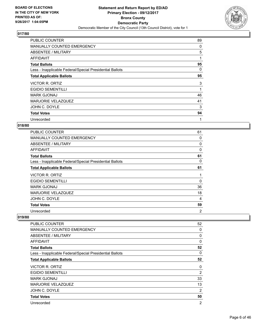

| <b>PUBLIC COUNTER</b>                                    | 89 |
|----------------------------------------------------------|----|
| <b>MANUALLY COUNTED EMERGENCY</b>                        | 0  |
| ABSENTEE / MILITARY                                      | 5  |
| AFFIDAVIT                                                | 1  |
| <b>Total Ballots</b>                                     | 95 |
| Less - Inapplicable Federal/Special Presidential Ballots | 0  |
| <b>Total Applicable Ballots</b>                          | 95 |
| <b>VICTOR R. ORTIZ</b>                                   | 3  |
| <b>EGIDIO SEMENTILLI</b>                                 | 1  |
|                                                          |    |
| <b>MARK GJONAJ</b>                                       | 46 |
| MARJORIE VELAZQUEZ                                       | 41 |
| JOHN C. DOYLE                                            | 3  |
| <b>Total Votes</b>                                       | 94 |

## **018/80**

| <b>PUBLIC COUNTER</b>                                    | 61 |
|----------------------------------------------------------|----|
| <b>MANUALLY COUNTED EMERGENCY</b>                        | 0  |
| ABSENTEE / MILITARY                                      | 0  |
| AFFIDAVIT                                                | 0  |
| <b>Total Ballots</b>                                     | 61 |
| Less - Inapplicable Federal/Special Presidential Ballots | 0  |
| <b>Total Applicable Ballots</b>                          | 61 |
| VICTOR R. ORTIZ                                          | 1  |
| <b>EGIDIO SEMENTILLI</b>                                 | 0  |
| <b>MARK GJONAJ</b>                                       | 36 |
| <b>MARJORIE VELAZQUEZ</b>                                | 18 |
| JOHN C. DOYLE                                            | 4  |
| <b>Total Votes</b>                                       | 59 |
| Unrecorded                                               | 2  |

| PUBLIC COUNTER                                           | 52             |
|----------------------------------------------------------|----------------|
| MANUALLY COUNTED EMERGENCY                               | 0              |
| ABSENTEE / MILITARY                                      | 0              |
| AFFIDAVIT                                                | $\Omega$       |
| <b>Total Ballots</b>                                     | 52             |
| Less - Inapplicable Federal/Special Presidential Ballots | 0              |
| <b>Total Applicable Ballots</b>                          | 52             |
| VICTOR R. ORTIZ                                          | 0              |
| <b>EGIDIO SEMENTILLI</b>                                 | 2              |
| <b>MARK GJONAJ</b>                                       | 33             |
| <b>MARJORIE VELAZQUEZ</b>                                | 13             |
| JOHN C. DOYLE                                            | 2              |
| <b>Total Votes</b>                                       | 50             |
| Unrecorded                                               | $\overline{2}$ |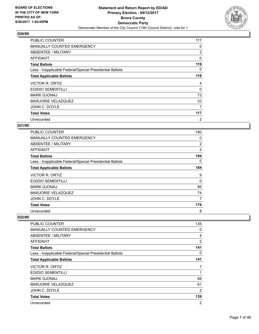

| <b>PUBLIC COUNTER</b>                                    | 117            |
|----------------------------------------------------------|----------------|
| <b>MANUALLY COUNTED EMERGENCY</b>                        | 0              |
| ABSENTEE / MILITARY                                      | 2              |
| AFFIDAVIT                                                | 0              |
| <b>Total Ballots</b>                                     | 119            |
| Less - Inapplicable Federal/Special Presidential Ballots | 0              |
| <b>Total Applicable Ballots</b>                          | 119            |
| <b>VICTOR R. ORTIZ</b>                                   | 4              |
| <b>EGIDIO SEMENTILLI</b>                                 | $\Omega$       |
| <b>MARK GJONAJ</b>                                       | 73             |
| MARJORIE VELAZQUEZ                                       | 33             |
| JOHN C. DOYLE                                            | 7              |
| <b>Total Votes</b>                                       | 117            |
| Unrecorded                                               | $\overline{2}$ |

## **021/80**

| <b>PUBLIC COUNTER</b>                                    | 180            |
|----------------------------------------------------------|----------------|
| MANUALLY COUNTED EMERGENCY                               | 0              |
| ABSENTEE / MILITARY                                      | $\overline{2}$ |
| <b>AFFIDAVIT</b>                                         | $\overline{2}$ |
| <b>Total Ballots</b>                                     | 184            |
| Less - Inapplicable Federal/Special Presidential Ballots | 0              |
| <b>Total Applicable Ballots</b>                          | 184            |
| VICTOR R. ORTIZ                                          | 9              |
| <b>EGIDIO SEMENTILLI</b>                                 | 0              |
| MARK GJONAJ                                              | 86             |
| <b>MARJORIE VELAZQUEZ</b>                                | 74             |
| JOHN C. DOYLE                                            | 7              |
| <b>Total Votes</b>                                       | 176            |
| Unrecorded                                               | 8              |

| <b>PUBLIC COUNTER</b>                                    | 135 |
|----------------------------------------------------------|-----|
| <b>MANUALLY COUNTED EMERGENCY</b>                        | 0   |
| ABSENTEE / MILITARY                                      | 4   |
| <b>AFFIDAVIT</b>                                         | 2   |
| <b>Total Ballots</b>                                     | 141 |
| Less - Inapplicable Federal/Special Presidential Ballots | 0   |
| <b>Total Applicable Ballots</b>                          | 141 |
| VICTOR R. ORTIZ                                          | 7   |
| <b>EGIDIO SEMENTILLI</b>                                 | 1   |
| <b>MARK GJONAJ</b>                                       | 68  |
| <b>MARJORIE VELAZQUEZ</b>                                | 61  |
| JOHN C. DOYLE                                            | 2   |
| <b>Total Votes</b>                                       | 139 |
| Unrecorded                                               | 2   |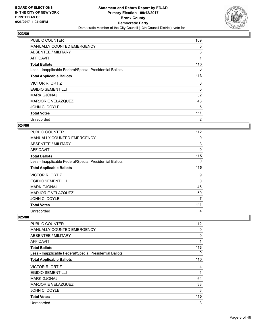

| <b>PUBLIC COUNTER</b>                                    | 109            |
|----------------------------------------------------------|----------------|
| <b>MANUALLY COUNTED EMERGENCY</b>                        | 0              |
| ABSENTEE / MILITARY                                      | 3              |
| AFFIDAVIT                                                | 1              |
| <b>Total Ballots</b>                                     | 113            |
| Less - Inapplicable Federal/Special Presidential Ballots | 0              |
| <b>Total Applicable Ballots</b>                          | 113            |
| <b>VICTOR R. ORTIZ</b>                                   | 6              |
| <b>EGIDIO SEMENTILLI</b>                                 | 0              |
| <b>MARK GJONAJ</b>                                       | 52             |
| <b>MARJORIE VELAZQUEZ</b>                                | 48             |
| JOHN C. DOYLE                                            | 5              |
| <b>Total Votes</b>                                       | 111            |
| Unrecorded                                               | $\overline{2}$ |

## **024/80**

| <b>PUBLIC COUNTER</b>                                    | 112      |
|----------------------------------------------------------|----------|
| <b>MANUALLY COUNTED EMERGENCY</b>                        | 0        |
| ABSENTEE / MILITARY                                      | 3        |
| <b>AFFIDAVIT</b>                                         | 0        |
| <b>Total Ballots</b>                                     | 115      |
| Less - Inapplicable Federal/Special Presidential Ballots | 0        |
| <b>Total Applicable Ballots</b>                          | 115      |
| VICTOR R. ORTIZ                                          | 9        |
| <b>EGIDIO SEMENTILLI</b>                                 | $\Omega$ |
| <b>MARK GJONAJ</b>                                       | 45       |
| MARJORIE VELAZQUEZ                                       | 50       |
| JOHN C. DOYLE                                            | 7        |
| <b>Total Votes</b>                                       | 111      |
| Unrecorded                                               | 4        |

| <b>PUBLIC COUNTER</b>                                    | 112 |
|----------------------------------------------------------|-----|
| <b>MANUALLY COUNTED EMERGENCY</b>                        | 0   |
| ABSENTEE / MILITARY                                      | 0   |
| <b>AFFIDAVIT</b>                                         | 1   |
| <b>Total Ballots</b>                                     | 113 |
| Less - Inapplicable Federal/Special Presidential Ballots | 0   |
| <b>Total Applicable Ballots</b>                          | 113 |
| VICTOR R. ORTIZ                                          | 4   |
| <b>EGIDIO SEMENTILLI</b>                                 | 1   |
| <b>MARK GJONAJ</b>                                       | 64  |
| <b>MARJORIE VELAZQUEZ</b>                                | 38  |
| JOHN C. DOYLE                                            | 3   |
| <b>Total Votes</b>                                       | 110 |
| Unrecorded                                               | 3   |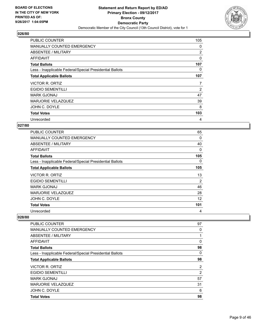

| <b>PUBLIC COUNTER</b>                                    | 105            |
|----------------------------------------------------------|----------------|
| <b>MANUALLY COUNTED EMERGENCY</b>                        | 0              |
| ABSENTEE / MILITARY                                      | 2              |
| AFFIDAVIT                                                | 0              |
| <b>Total Ballots</b>                                     | 107            |
| Less - Inapplicable Federal/Special Presidential Ballots | 0              |
| <b>Total Applicable Ballots</b>                          | 107            |
| VICTOR R. ORTIZ                                          | 7              |
| <b>EGIDIO SEMENTILLI</b>                                 | $\overline{2}$ |
| <b>MARK GJONAJ</b>                                       | 47             |
| <b>MARJORIE VELAZQUEZ</b>                                | 39             |
| JOHN C. DOYLE                                            | 8              |
| <b>Total Votes</b>                                       | 103            |
| Unrecorded                                               | 4              |

## **027/80**

| <b>PUBLIC COUNTER</b>                                    | 65  |
|----------------------------------------------------------|-----|
| <b>MANUALLY COUNTED EMERGENCY</b>                        | 0   |
| ABSENTEE / MILITARY                                      | 40  |
| AFFIDAVIT                                                | 0   |
| <b>Total Ballots</b>                                     | 105 |
| Less - Inapplicable Federal/Special Presidential Ballots | 0   |
| <b>Total Applicable Ballots</b>                          | 105 |
| VICTOR R. ORTIZ                                          | 13  |
| <b>EGIDIO SEMENTILLI</b>                                 | 2   |
| <b>MARK GJONAJ</b>                                       | 46  |
| <b>MARJORIE VELAZQUEZ</b>                                | 28  |
| JOHN C. DOYLE                                            | 12  |
| <b>Total Votes</b>                                       | 101 |
| Unrecorded                                               | 4   |

| PUBLIC COUNTER                                           | 97 |
|----------------------------------------------------------|----|
| MANUALLY COUNTED EMERGENCY                               | 0  |
| ABSENTEE / MILITARY                                      |    |
| AFFIDAVIT                                                | 0  |
| <b>Total Ballots</b>                                     | 98 |
| Less - Inapplicable Federal/Special Presidential Ballots | 0  |
| <b>Total Applicable Ballots</b>                          | 98 |
| VICTOR R. ORTIZ                                          | 2  |
| <b>EGIDIO SEMENTILLI</b>                                 | 2  |
| <b>MARK GJONAJ</b>                                       | 57 |
| <b>MARJORIE VELAZQUEZ</b>                                | 31 |
| JOHN C. DOYLE                                            | 6  |
| <b>Total Votes</b>                                       | 98 |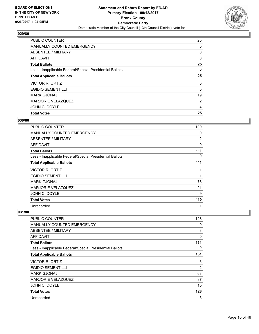

| <b>Total Votes</b>                                       | 25       |
|----------------------------------------------------------|----------|
| JOHN C. DOYLE                                            | 4        |
| <b>MARJORIE VELAZQUEZ</b>                                | 2        |
| <b>MARK GJONAJ</b>                                       | 19       |
| <b>EGIDIO SEMENTILLI</b>                                 | $\Omega$ |
| VICTOR R. ORTIZ                                          | 0        |
| <b>Total Applicable Ballots</b>                          | 25       |
| Less - Inapplicable Federal/Special Presidential Ballots | 0        |
| <b>Total Ballots</b>                                     | 25       |
| AFFIDAVIT                                                | 0        |
| ABSENTEE / MILITARY                                      | 0        |
| MANUALLY COUNTED EMERGENCY                               | 0        |
| <b>PUBLIC COUNTER</b>                                    | 25       |

#### **030/80**

| PUBLIC COUNTER                                           | 109 |
|----------------------------------------------------------|-----|
| <b>MANUALLY COUNTED EMERGENCY</b>                        | 0   |
| <b>ABSENTEE / MILITARY</b>                               | 2   |
| <b>AFFIDAVIT</b>                                         | 0   |
| <b>Total Ballots</b>                                     | 111 |
| Less - Inapplicable Federal/Special Presidential Ballots | 0   |
| <b>Total Applicable Ballots</b>                          | 111 |
| <b>VICTOR R. ORTIZ</b>                                   | 1   |
| <b>EGIDIO SEMENTILLI</b>                                 | 1   |
| <b>MARK GJONAJ</b>                                       | 78  |
| <b>MARJORIE VELAZQUEZ</b>                                | 21  |
| JOHN C. DOYLE                                            | 9   |
| <b>Total Votes</b>                                       | 110 |
| Unrecorded                                               | 1   |

| <b>PUBLIC COUNTER</b>                                    | 128            |
|----------------------------------------------------------|----------------|
| MANUALLY COUNTED EMERGENCY                               | 0              |
| ABSENTEE / MILITARY                                      | 3              |
| <b>AFFIDAVIT</b>                                         | 0              |
| <b>Total Ballots</b>                                     | 131            |
| Less - Inapplicable Federal/Special Presidential Ballots | 0              |
| <b>Total Applicable Ballots</b>                          | 131            |
| <b>VICTOR R. ORTIZ</b>                                   | 6              |
| <b>EGIDIO SEMENTILLI</b>                                 | $\overline{2}$ |
| <b>MARK GJONAJ</b>                                       | 68             |
| <b>MARJORIE VELAZQUEZ</b>                                | 37             |
| JOHN C. DOYLE                                            | 15             |
| <b>Total Votes</b>                                       | 128            |
| Unrecorded                                               | 3              |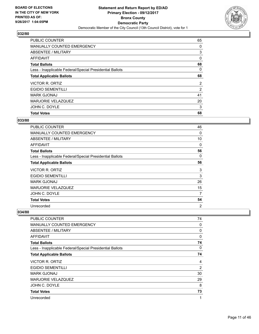

| <b>Total Votes</b>                                       | 68             |
|----------------------------------------------------------|----------------|
| JOHN C. DOYLE                                            | 3              |
| <b>MARJORIE VELAZQUEZ</b>                                | 20             |
| <b>MARK GJONAJ</b>                                       | 41             |
| <b>EGIDIO SEMENTILLI</b>                                 | $\overline{2}$ |
| VICTOR R. ORTIZ                                          | $\overline{2}$ |
| <b>Total Applicable Ballots</b>                          | 68             |
| Less - Inapplicable Federal/Special Presidential Ballots | 0              |
| <b>Total Ballots</b>                                     | 68             |
| <b>AFFIDAVIT</b>                                         | 0              |
| ABSENTEE / MILITARY                                      | 3              |
| MANUALLY COUNTED EMERGENCY                               | 0              |
| <b>PUBLIC COUNTER</b>                                    | 65             |

#### **033/80**

| <b>PUBLIC COUNTER</b>                                    | 46             |
|----------------------------------------------------------|----------------|
| <b>MANUALLY COUNTED EMERGENCY</b>                        | $\mathbf{0}$   |
| <b>ABSENTEE / MILITARY</b>                               | 10             |
| AFFIDAVIT                                                | 0              |
| <b>Total Ballots</b>                                     | 56             |
| Less - Inapplicable Federal/Special Presidential Ballots | 0              |
| <b>Total Applicable Ballots</b>                          | 56             |
| <b>VICTOR R. ORTIZ</b>                                   | 3              |
| <b>EGIDIO SEMENTILLI</b>                                 | 3              |
| <b>MARK GJONAJ</b>                                       | 26             |
| MARJORIE VELAZQUEZ                                       | 15             |
| JOHN C. DOYLE                                            | 7              |
| <b>Total Votes</b>                                       | 54             |
| Unrecorded                                               | $\overline{2}$ |

| <b>PUBLIC COUNTER</b>                                    | 74 |
|----------------------------------------------------------|----|
| <b>MANUALLY COUNTED EMERGENCY</b>                        | 0  |
| ABSENTEE / MILITARY                                      | 0  |
| <b>AFFIDAVIT</b>                                         | 0  |
| <b>Total Ballots</b>                                     | 74 |
| Less - Inapplicable Federal/Special Presidential Ballots | 0  |
| <b>Total Applicable Ballots</b>                          | 74 |
| VICTOR R. ORTIZ                                          | 4  |
| <b>EGIDIO SEMENTILLI</b>                                 | 2  |
| <b>MARK GJONAJ</b>                                       | 30 |
| <b>MARJORIE VELAZQUEZ</b>                                | 29 |
| JOHN C. DOYLE                                            | 8  |
| <b>Total Votes</b>                                       | 73 |
| Unrecorded                                               | 1  |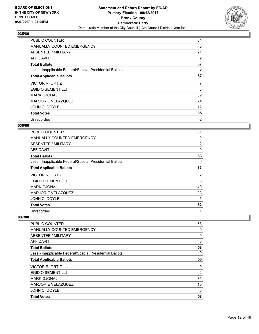

| <b>PUBLIC COUNTER</b>                                    | 64 |
|----------------------------------------------------------|----|
| <b>MANUALLY COUNTED EMERGENCY</b>                        | 0  |
| ABSENTEE / MILITARY                                      | 21 |
| AFFIDAVIT                                                | 2  |
| <b>Total Ballots</b>                                     | 87 |
| Less - Inapplicable Federal/Special Presidential Ballots | 0  |
| <b>Total Applicable Ballots</b>                          | 87 |
| VICTOR R. ORTIZ                                          | 7  |
| <b>EGIDIO SEMENTILLI</b>                                 | 3  |
|                                                          |    |
| <b>MARK GJONAJ</b>                                       | 39 |
| <b>MARJORIE VELAZQUEZ</b>                                | 24 |
| JOHN C. DOYLE                                            | 12 |
| <b>Total Votes</b>                                       | 85 |

## **036/80**

| <b>PUBLIC COUNTER</b>                                    | 81       |
|----------------------------------------------------------|----------|
| <b>MANUALLY COUNTED EMERGENCY</b>                        | 0        |
| ABSENTEE / MILITARY                                      | 2        |
| AFFIDAVIT                                                | $\Omega$ |
| <b>Total Ballots</b>                                     | 83       |
| Less - Inapplicable Federal/Special Presidential Ballots | 0        |
| <b>Total Applicable Ballots</b>                          | 83       |
| VICTOR R. ORTIZ                                          | 2        |
| <b>EGIDIO SEMENTILLI</b>                                 | 3        |
| <b>MARK GJONAJ</b>                                       | 49       |
| <b>MARJORIE VELAZQUEZ</b>                                | 23       |
| JOHN C. DOYLE                                            | 5        |
| <b>Total Votes</b>                                       | 82       |
| Unrecorded                                               | 1        |

| PUBLIC COUNTER                                           | 58 |
|----------------------------------------------------------|----|
| MANUALLY COUNTED EMERGENCY                               | 0  |
| ABSENTEE / MILITARY                                      | 0  |
| AFFIDAVIT                                                | 0  |
| <b>Total Ballots</b>                                     | 58 |
| Less - Inapplicable Federal/Special Presidential Ballots | 0  |
| <b>Total Applicable Ballots</b>                          | 58 |
| VICTOR R. ORTIZ                                          | 0  |
| <b>EGIDIO SEMENTILLI</b>                                 | 2  |
| <b>MARK GJONAJ</b>                                       | 35 |
| <b>MARJORIE VELAZQUEZ</b>                                | 15 |
| JOHN C. DOYLE                                            | 6  |
| <b>Total Votes</b>                                       | 58 |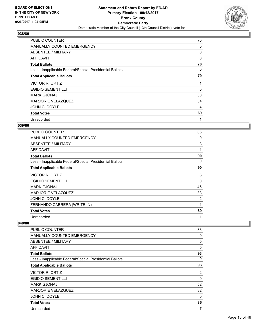

| <b>PUBLIC COUNTER</b>                                    | 70 |
|----------------------------------------------------------|----|
| <b>MANUALLY COUNTED EMERGENCY</b>                        | 0  |
| ABSENTEE / MILITARY                                      | 0  |
| AFFIDAVIT                                                | 0  |
| <b>Total Ballots</b>                                     | 70 |
| Less - Inapplicable Federal/Special Presidential Ballots | 0  |
| <b>Total Applicable Ballots</b>                          | 70 |
| <b>VICTOR R. ORTIZ</b>                                   | 1  |
| <b>EGIDIO SEMENTILLI</b>                                 | 0  |
| <b>MARK GJONAJ</b>                                       | 30 |
| MARJORIE VELAZQUEZ                                       | 34 |
| JOHN C. DOYLE                                            | 4  |
| <b>Total Votes</b>                                       | 69 |
| Unrecorded                                               | 1  |

## **039/80**

| <b>PUBLIC COUNTER</b>                                    | 86 |
|----------------------------------------------------------|----|
| MANUALLY COUNTED EMERGENCY                               | 0  |
| ABSENTEE / MILITARY                                      | 3  |
| AFFIDAVIT                                                | 1  |
| <b>Total Ballots</b>                                     | 90 |
| Less - Inapplicable Federal/Special Presidential Ballots | 0  |
| <b>Total Applicable Ballots</b>                          | 90 |
| VICTOR R. ORTIZ                                          | 8  |
| <b>EGIDIO SEMENTILLI</b>                                 | 0  |
| <b>MARK GJONAJ</b>                                       | 45 |
| MARJORIE VELAZQUEZ                                       | 33 |
| JOHN C. DOYLE                                            | 2  |
| FERNANDO CABRERA (WRITE-IN)                              | 1  |
| <b>Total Votes</b>                                       | 89 |
| Unrecorded                                               | 1  |

| PUBLIC COUNTER                                           | 83             |
|----------------------------------------------------------|----------------|
| <b>MANUALLY COUNTED EMERGENCY</b>                        | 0              |
| ABSENTEE / MILITARY                                      | 5              |
| AFFIDAVIT                                                | 5              |
| <b>Total Ballots</b>                                     | 93             |
| Less - Inapplicable Federal/Special Presidential Ballots | 0              |
| <b>Total Applicable Ballots</b>                          | 93             |
| <b>VICTOR R. ORTIZ</b>                                   | $\overline{2}$ |
| <b>EGIDIO SEMENTILLI</b>                                 | $\Omega$       |
| <b>MARK GJONAJ</b>                                       | 52             |
| <b>MARJORIE VELAZQUEZ</b>                                | 32             |
| JOHN C. DOYLE                                            | 0              |
| <b>Total Votes</b>                                       | 86             |
| Unrecorded                                               | 7              |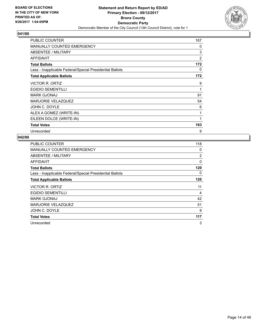

| <b>PUBLIC COUNTER</b>                                    | 167            |
|----------------------------------------------------------|----------------|
| MANUALLY COUNTED EMERGENCY                               | 0              |
| ABSENTEE / MILITARY                                      | 3              |
| AFFIDAVIT                                                | $\overline{2}$ |
| <b>Total Ballots</b>                                     | 172            |
| Less - Inapplicable Federal/Special Presidential Ballots | 0              |
| <b>Total Applicable Ballots</b>                          | 172            |
| <b>VICTOR R. ORTIZ</b>                                   | 9              |
| <b>EGIDIO SEMENTILLI</b>                                 | 1              |
| <b>MARK GJONAJ</b>                                       | 91             |
| <b>MARJORIE VELAZQUEZ</b>                                | 54             |
| JOHN C. DOYLE                                            | 6              |
| ALEX A GOMEZ (WRITE-IN)                                  | 1              |
| EILEEN DOLCE (WRITE-IN)                                  | 1              |
| <b>Total Votes</b>                                       | 163            |
| Unrecorded                                               | 9              |

| <b>PUBLIC COUNTER</b>                                    | 118 |
|----------------------------------------------------------|-----|
| MANUALLY COUNTED EMERGENCY                               | 0   |
| ABSENTEE / MILITARY                                      | 2   |
| AFFIDAVIT                                                | 0   |
| <b>Total Ballots</b>                                     | 120 |
| Less - Inapplicable Federal/Special Presidential Ballots | 0   |
| <b>Total Applicable Ballots</b>                          | 120 |
| <b>VICTOR R. ORTIZ</b>                                   | 11  |
| <b>EGIDIO SEMENTILLI</b>                                 | 4   |
| <b>MARK GJONAJ</b>                                       | 42  |
| MARJORIE VELAZQUEZ                                       | 51  |
| JOHN C. DOYLE                                            | 9   |
| <b>Total Votes</b>                                       | 117 |
| Unrecorded                                               | 3   |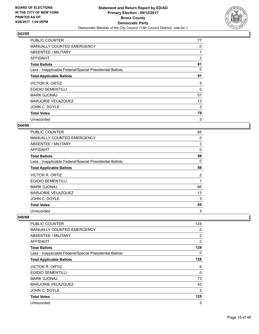

| <b>PUBLIC COUNTER</b>                                    | 77 |
|----------------------------------------------------------|----|
| <b>MANUALLY COUNTED EMERGENCY</b>                        | 0  |
| ABSENTEE / MILITARY                                      |    |
| AFFIDAVIT                                                | 3  |
| <b>Total Ballots</b>                                     | 81 |
| Less - Inapplicable Federal/Special Presidential Ballots | 0  |
| <b>Total Applicable Ballots</b>                          | 81 |
| <b>VICTOR R. ORTIZ</b>                                   | 5  |
| <b>EGIDIO SEMENTILLI</b>                                 | 0  |
| <b>MARK GJONAJ</b>                                       | 57 |
| MARJORIE VELAZQUEZ                                       | 13 |
| JOHN C. DOYLE                                            | 3  |
| <b>Total Votes</b>                                       | 78 |
| Unrecorded                                               | 3  |

## **044/80**

| <b>PUBLIC COUNTER</b>                                    | 85 |
|----------------------------------------------------------|----|
| <b>MANUALLY COUNTED EMERGENCY</b>                        | 0  |
| ABSENTEE / MILITARY                                      | 3  |
| AFFIDAVIT                                                | 0  |
| <b>Total Ballots</b>                                     | 88 |
| Less - Inapplicable Federal/Special Presidential Ballots | 0  |
| <b>Total Applicable Ballots</b>                          | 88 |
| VICTOR R. ORTIZ                                          | 2  |
| <b>EGIDIO SEMENTILLI</b>                                 | 1  |
| <b>MARK GJONAJ</b>                                       | 66 |
| MARJORIE VELAZQUEZ                                       | 13 |
| JOHN C. DOYLE                                            | 3  |
| <b>Total Votes</b>                                       | 85 |
|                                                          |    |

| PUBLIC COUNTER                                           | 124 |
|----------------------------------------------------------|-----|
| <b>MANUALLY COUNTED EMERGENCY</b>                        | 0   |
| ABSENTEE / MILITARY                                      | 2   |
| AFFIDAVIT                                                | 2   |
| <b>Total Ballots</b>                                     | 128 |
| Less - Inapplicable Federal/Special Presidential Ballots | 0   |
| <b>Total Applicable Ballots</b>                          | 128 |
| VICTOR R. ORTIZ                                          | 6   |
| <b>EGIDIO SEMENTILLI</b>                                 | 0   |
| <b>MARK GJONAJ</b>                                       | 73  |
| <b>MARJORIE VELAZQUEZ</b>                                | 43  |
| JOHN C. DOYLE                                            | 3   |
| <b>Total Votes</b>                                       | 125 |
| Unrecorded                                               | 3   |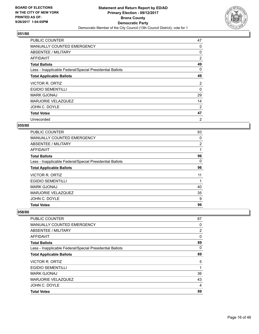

| <b>PUBLIC COUNTER</b>                                    | 47 |
|----------------------------------------------------------|----|
| MANUALLY COUNTED EMERGENCY                               | 0  |
| ABSENTEE / MILITARY                                      | 0  |
| <b>AFFIDAVIT</b>                                         | 2  |
| <b>Total Ballots</b>                                     | 49 |
| Less - Inapplicable Federal/Special Presidential Ballots | 0  |
| <b>Total Applicable Ballots</b>                          | 49 |
| <b>VICTOR R. ORTIZ</b>                                   | 2  |
| <b>EGIDIO SEMENTILLI</b>                                 | 0  |
| <b>MARK GJONAJ</b>                                       | 29 |
| <b>MARJORIE VELAZQUEZ</b>                                | 14 |
| JOHN C. DOYLE                                            | 2  |
| <b>Total Votes</b>                                       | 47 |
| Unrecorded                                               | 2  |

## **055/80**

| PUBLIC COUNTER                                           | 93 |
|----------------------------------------------------------|----|
| <b>MANUALLY COUNTED EMERGENCY</b>                        | 0  |
| ABSENTEE / MILITARY                                      | 2  |
| AFFIDAVIT                                                |    |
| <b>Total Ballots</b>                                     | 96 |
| Less - Inapplicable Federal/Special Presidential Ballots | 0  |
| <b>Total Applicable Ballots</b>                          | 96 |
| VICTOR R. ORTIZ                                          | 11 |
| <b>EGIDIO SEMENTILLI</b>                                 | 1  |
| <b>MARK GJONAJ</b>                                       | 40 |
| <b>MARJORIE VELAZQUEZ</b>                                | 35 |
| JOHN C. DOYLE                                            | 9  |
| <b>Total Votes</b>                                       | 96 |

| <b>Total Votes</b>                                       | 89             |
|----------------------------------------------------------|----------------|
| JOHN C. DOYLE                                            | 4              |
| <b>MARJORIE VELAZQUEZ</b>                                | 43             |
| <b>MARK GJONAJ</b>                                       | 36             |
| <b>EGIDIO SEMENTILLI</b>                                 | 1              |
| <b>VICTOR R. ORTIZ</b>                                   | 5              |
| <b>Total Applicable Ballots</b>                          | 89             |
| Less - Inapplicable Federal/Special Presidential Ballots | 0              |
| <b>Total Ballots</b>                                     | 89             |
| AFFIDAVIT                                                | 0              |
| ABSENTEE / MILITARY                                      | $\overline{2}$ |
| <b>MANUALLY COUNTED EMERGENCY</b>                        | 0              |
| <b>PUBLIC COUNTER</b>                                    | 87             |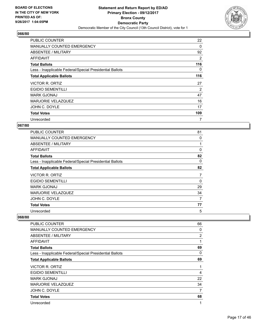

| <b>PUBLIC COUNTER</b>                                    | 22             |
|----------------------------------------------------------|----------------|
| <b>MANUALLY COUNTED EMERGENCY</b>                        | 0              |
| ABSENTEE / MILITARY                                      | 92             |
| AFFIDAVIT                                                | 2              |
| <b>Total Ballots</b>                                     | 116            |
| Less - Inapplicable Federal/Special Presidential Ballots | 0              |
| <b>Total Applicable Ballots</b>                          | 116            |
| VICTOR R. ORTIZ                                          | 27             |
| <b>EGIDIO SEMENTILLI</b>                                 | $\overline{2}$ |
| <b>MARK GJONAJ</b>                                       | 47             |
| MARJORIE VELAZQUEZ                                       | 16             |
| JOHN C. DOYLE                                            | 17             |
| <b>Total Votes</b>                                       | 109            |
| Unrecorded                                               | 7              |

## **067/80**

| <b>PUBLIC COUNTER</b>                                    | 81 |
|----------------------------------------------------------|----|
| <b>MANUALLY COUNTED EMERGENCY</b>                        | 0  |
| ABSENTEE / MILITARY                                      |    |
| AFFIDAVIT                                                | 0  |
| <b>Total Ballots</b>                                     | 82 |
| Less - Inapplicable Federal/Special Presidential Ballots | 0  |
| <b>Total Applicable Ballots</b>                          | 82 |
| VICTOR R. ORTIZ                                          | 7  |
| <b>EGIDIO SEMENTILLI</b>                                 | 0  |
| <b>MARK GJONAJ</b>                                       | 29 |
| MARJORIE VELAZQUEZ                                       | 34 |
| JOHN C. DOYLE                                            | 7  |
| <b>Total Votes</b>                                       | 77 |
| Unrecorded                                               | 5  |

| PUBLIC COUNTER                                           | 66 |
|----------------------------------------------------------|----|
| <b>MANUALLY COUNTED EMERGENCY</b>                        | 0  |
| ABSENTEE / MILITARY                                      | 2  |
| <b>AFFIDAVIT</b>                                         | 1  |
| <b>Total Ballots</b>                                     | 69 |
| Less - Inapplicable Federal/Special Presidential Ballots | 0  |
| <b>Total Applicable Ballots</b>                          | 69 |
| VICTOR R. ORTIZ                                          | 1  |
| <b>EGIDIO SEMENTILLI</b>                                 | 4  |
| <b>MARK GJONAJ</b>                                       | 22 |
| MARJORIE VELAZQUEZ                                       | 34 |
| JOHN C. DOYLE                                            | 7  |
| <b>Total Votes</b>                                       | 68 |
| Unrecorded                                               | 1  |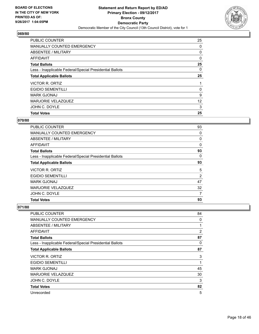

| <b>PUBLIC COUNTER</b>                                    | 25 |
|----------------------------------------------------------|----|
| MANUALLY COUNTED EMERGENCY                               | 0  |
| ABSENTEE / MILITARY                                      | 0  |
| <b>AFFIDAVIT</b>                                         | 0  |
| <b>Total Ballots</b>                                     | 25 |
| Less - Inapplicable Federal/Special Presidential Ballots | 0  |
| <b>Total Applicable Ballots</b>                          | 25 |
| VICTOR R. ORTIZ                                          |    |
| <b>EGIDIO SEMENTILLI</b>                                 | 0  |
| <b>MARK GJONAJ</b>                                       | 9  |
| MARJORIE VELAZQUEZ                                       | 12 |
| JOHN C. DOYLE                                            | 3  |
| <b>Total Votes</b>                                       | 25 |

# **070/80**

| <b>PUBLIC COUNTER</b>                                    | 93 |
|----------------------------------------------------------|----|
| <b>MANUALLY COUNTED EMERGENCY</b>                        | 0  |
| ABSENTEE / MILITARY                                      | 0  |
| <b>AFFIDAVIT</b>                                         | 0  |
| <b>Total Ballots</b>                                     | 93 |
| Less - Inapplicable Federal/Special Presidential Ballots | 0  |
| <b>Total Applicable Ballots</b>                          | 93 |
| VICTOR R. ORTIZ                                          | 5  |
| <b>EGIDIO SEMENTILLI</b>                                 | 2  |
| <b>MARK GJONAJ</b>                                       | 47 |
| <b>MARJORIE VELAZQUEZ</b>                                | 32 |
| JOHN C. DOYLE                                            | 7  |
| <b>Total Votes</b>                                       | 93 |

| PUBLIC COUNTER                                           | 84             |
|----------------------------------------------------------|----------------|
| <b>MANUALLY COUNTED EMERGENCY</b>                        | 0              |
| ABSENTEE / MILITARY                                      | 1              |
| AFFIDAVIT                                                | $\overline{2}$ |
| <b>Total Ballots</b>                                     | 87             |
| Less - Inapplicable Federal/Special Presidential Ballots | 0              |
| <b>Total Applicable Ballots</b>                          | 87             |
| <b>VICTOR R. ORTIZ</b>                                   | 3              |
| <b>EGIDIO SEMENTILLI</b>                                 | 1              |
| <b>MARK GJONAJ</b>                                       | 45             |
| <b>MARJORIE VELAZQUEZ</b>                                | 30             |
| JOHN C. DOYLE                                            | 3              |
| <b>Total Votes</b>                                       | 82             |
| Unrecorded                                               | 5              |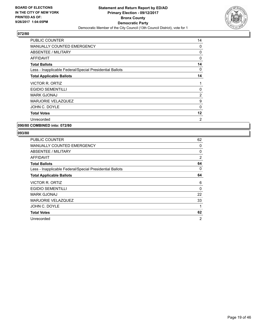

| <b>PUBLIC COUNTER</b>                                    | 14       |
|----------------------------------------------------------|----------|
| <b>MANUALLY COUNTED EMERGENCY</b>                        | 0        |
| <b>ABSENTEE / MILITARY</b>                               | 0        |
| <b>AFFIDAVIT</b>                                         | 0        |
| <b>Total Ballots</b>                                     | 14       |
| Less - Inapplicable Federal/Special Presidential Ballots | 0        |
| <b>Total Applicable Ballots</b>                          | 14       |
| VICTOR R. ORTIZ                                          | 1        |
| <b>EGIDIO SEMENTILLI</b>                                 | 0        |
| <b>MARK GJONAJ</b>                                       | 2        |
| <b>MARJORIE VELAZQUEZ</b>                                | 9        |
| JOHN C. DOYLE                                            | $\Omega$ |
| <b>Total Votes</b>                                       | 12       |
| Unrecorded                                               | 2        |
|                                                          |          |

**090/80 COMBINED into: 072/80**

| <b>PUBLIC COUNTER</b>                                    | 62             |
|----------------------------------------------------------|----------------|
| <b>MANUALLY COUNTED EMERGENCY</b>                        | 0              |
| ABSENTEE / MILITARY                                      | 0              |
| AFFIDAVIT                                                | 2              |
| <b>Total Ballots</b>                                     | 64             |
| Less - Inapplicable Federal/Special Presidential Ballots | 0              |
| <b>Total Applicable Ballots</b>                          | 64             |
| VICTOR R. ORTIZ                                          | 6              |
| <b>EGIDIO SEMENTILLI</b>                                 | 0              |
| <b>MARK GJONAJ</b>                                       | 22             |
| <b>MARJORIE VELAZQUEZ</b>                                | 33             |
| JOHN C. DOYLE                                            | 1              |
| <b>Total Votes</b>                                       | 62             |
| Unrecorded                                               | $\overline{2}$ |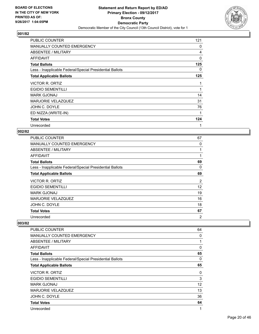

| <b>PUBLIC COUNTER</b>                                    | 121 |
|----------------------------------------------------------|-----|
| <b>MANUALLY COUNTED EMERGENCY</b>                        | 0   |
| ABSENTEE / MILITARY                                      | 4   |
| AFFIDAVIT                                                | 0   |
| <b>Total Ballots</b>                                     | 125 |
| Less - Inapplicable Federal/Special Presidential Ballots | 0   |
| <b>Total Applicable Ballots</b>                          | 125 |
| <b>VICTOR R. ORTIZ</b>                                   |     |
| <b>EGIDIO SEMENTILLI</b>                                 | 1   |
| <b>MARK GJONAJ</b>                                       | 14  |
| <b>MARJORIE VELAZQUEZ</b>                                | 31  |
| JOHN C. DOYLE                                            | 76  |
| ED NIZZA (WRITE-IN)                                      | 1   |
| <b>Total Votes</b>                                       | 124 |
| Unrecorded                                               | 1   |

## **002/82**

| <b>PUBLIC COUNTER</b>                                    | 67             |
|----------------------------------------------------------|----------------|
| MANUALLY COUNTED EMERGENCY                               | 0              |
| ABSENTEE / MILITARY                                      | 1              |
| AFFIDAVIT                                                | $\mathbf{1}$   |
| <b>Total Ballots</b>                                     | 69             |
| Less - Inapplicable Federal/Special Presidential Ballots | 0              |
| <b>Total Applicable Ballots</b>                          | 69             |
| VICTOR R. ORTIZ                                          | 2              |
| <b>EGIDIO SEMENTILLI</b>                                 | 12             |
| <b>MARK GJONAJ</b>                                       | 19             |
| MARJORIE VELAZQUEZ                                       | 16             |
| JOHN C. DOYLE                                            | 18             |
| <b>Total Votes</b>                                       | 67             |
| Unrecorded                                               | $\overline{2}$ |

| PUBLIC COUNTER                                           | 64                |
|----------------------------------------------------------|-------------------|
| <b>MANUALLY COUNTED EMERGENCY</b>                        | 0                 |
| ABSENTEE / MILITARY                                      | 1                 |
| AFFIDAVIT                                                | 0                 |
| <b>Total Ballots</b>                                     | 65                |
| Less - Inapplicable Federal/Special Presidential Ballots | 0                 |
| <b>Total Applicable Ballots</b>                          | 65                |
| <b>VICTOR R. ORTIZ</b>                                   | 0                 |
| <b>EGIDIO SEMENTILLI</b>                                 | 3                 |
| <b>MARK GJONAJ</b>                                       | $12 \overline{ }$ |
| <b>MARJORIE VELAZQUEZ</b>                                | 13                |
| JOHN C. DOYLE                                            | 36                |
| <b>Total Votes</b>                                       | 64                |
| Unrecorded                                               | 1                 |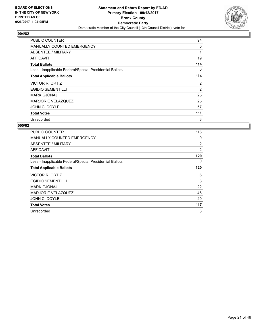

| <b>PUBLIC COUNTER</b>                                    | 94  |
|----------------------------------------------------------|-----|
| <b>MANUALLY COUNTED EMERGENCY</b>                        | 0   |
| <b>ABSENTEE / MILITARY</b>                               |     |
| AFFIDAVIT                                                | 19  |
| <b>Total Ballots</b>                                     | 114 |
| Less - Inapplicable Federal/Special Presidential Ballots | 0   |
| <b>Total Applicable Ballots</b>                          | 114 |
| VICTOR R. ORTIZ                                          | 2   |
| <b>EGIDIO SEMENTILLI</b>                                 | 2   |
| <b>MARK GJONAJ</b>                                       | 25  |
| <b>MARJORIE VELAZQUEZ</b>                                | 25  |
| JOHN C. DOYLE                                            | 57  |
| <b>Total Votes</b>                                       | 111 |
| Unrecorded                                               | 3   |

| <b>PUBLIC COUNTER</b>                                    | 116            |
|----------------------------------------------------------|----------------|
| <b>MANUALLY COUNTED EMERGENCY</b>                        | 0              |
| ABSENTEE / MILITARY                                      | $\overline{2}$ |
| AFFIDAVIT                                                | $\overline{2}$ |
| <b>Total Ballots</b>                                     | 120            |
| Less - Inapplicable Federal/Special Presidential Ballots | 0              |
| <b>Total Applicable Ballots</b>                          | 120            |
| VICTOR R. ORTIZ                                          | 6              |
| <b>EGIDIO SEMENTILLI</b>                                 | 3              |
| <b>MARK GJONAJ</b>                                       | 22             |
| MARJORIE VELAZQUEZ                                       | 46             |
| JOHN C. DOYLE                                            | 40             |
| <b>Total Votes</b>                                       | 117            |
| Unrecorded                                               | 3              |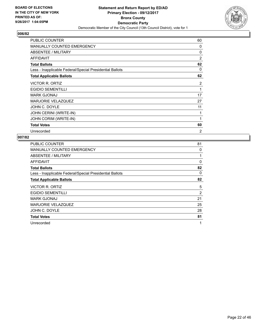

| <b>PUBLIC COUNTER</b>                                    | 60             |
|----------------------------------------------------------|----------------|
| MANUALLY COUNTED EMERGENCY                               | 0              |
| ABSENTEE / MILITARY                                      | 0              |
| <b>AFFIDAVIT</b>                                         | $\overline{2}$ |
| <b>Total Ballots</b>                                     | 62             |
| Less - Inapplicable Federal/Special Presidential Ballots | 0              |
| <b>Total Applicable Ballots</b>                          | 62             |
| <b>VICTOR R. ORTIZ</b>                                   | $\overline{2}$ |
| <b>EGIDIO SEMENTILLI</b>                                 | 1              |
| <b>MARK GJONAJ</b>                                       | 17             |
| MARJORIE VELAZQUEZ                                       | 27             |
| JOHN C. DOYLE                                            | 11             |
| JOHN CERINI (WRITE-IN)                                   | 1              |
| JOHN CORIM (WRITE-IN)                                    | 1              |
| <b>Total Votes</b>                                       | 60             |
| Unrecorded                                               | 2              |

| <b>PUBLIC COUNTER</b>                                    | 81             |
|----------------------------------------------------------|----------------|
| <b>MANUALLY COUNTED EMERGENCY</b>                        | 0              |
| ABSENTEE / MILITARY                                      | 1              |
| AFFIDAVIT                                                | 0              |
| <b>Total Ballots</b>                                     | 82             |
| Less - Inapplicable Federal/Special Presidential Ballots | 0              |
| <b>Total Applicable Ballots</b>                          | 82             |
| <b>VICTOR R. ORTIZ</b>                                   | 5              |
| <b>EGIDIO SEMENTILLI</b>                                 | $\overline{2}$ |
| <b>MARK GJONAJ</b>                                       | 21             |
| <b>MARJORIE VELAZQUEZ</b>                                | 25             |
| JOHN C. DOYLE                                            | 28             |
| <b>Total Votes</b>                                       | 81             |
|                                                          |                |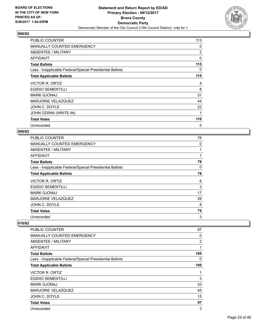

| PUBLIC COUNTER                                           | 113            |
|----------------------------------------------------------|----------------|
| <b>MANUALLY COUNTED EMERGENCY</b>                        | 0              |
| ABSENTEE / MILITARY                                      | $\overline{2}$ |
| AFFIDAVIT                                                | 0              |
| <b>Total Ballots</b>                                     | 115            |
| Less - Inapplicable Federal/Special Presidential Ballots | 0              |
| <b>Total Applicable Ballots</b>                          | 115            |
| <b>VICTOR R. ORTIZ</b>                                   | 4              |
| <b>EGIDIO SEMENTILLI</b>                                 | 8              |
| <b>MARK GJONAJ</b>                                       | 31             |
| <b>MARJORIE VELAZQUEZ</b>                                | 44             |
| JOHN C. DOYLE                                            | 22             |
| JOHN CERINI (WRITE-IN)                                   | 1              |
| <b>Total Votes</b>                                       | 110            |
| Unrecorded                                               | 5              |

#### **009/82**

| <b>PUBLIC COUNTER</b>                                    | 76 |
|----------------------------------------------------------|----|
| MANUALLY COUNTED EMERGENCY                               | 0  |
| ABSENTEE / MILITARY                                      | 1  |
| AFFIDAVIT                                                | 1  |
| <b>Total Ballots</b>                                     | 78 |
| Less - Inapplicable Federal/Special Presidential Ballots | 0  |
| <b>Total Applicable Ballots</b>                          | 78 |
| <b>VICTOR R. ORTIZ</b>                                   | 8  |
| <b>EGIDIO SEMENTILLI</b>                                 | 3  |
| <b>MARK GJONAJ</b>                                       | 17 |
| <b>MARJORIE VELAZQUEZ</b>                                | 39 |
| JOHN C. DOYLE                                            | 8  |
| <b>Total Votes</b>                                       | 75 |
| Unrecorded                                               | 3  |

| PUBLIC COUNTER                                           | 97             |
|----------------------------------------------------------|----------------|
| <b>MANUALLY COUNTED EMERGENCY</b>                        | 0              |
| ABSENTEE / MILITARY                                      | $\overline{2}$ |
| AFFIDAVIT                                                | 1              |
| <b>Total Ballots</b>                                     | 100            |
| Less - Inapplicable Federal/Special Presidential Ballots | 0              |
| <b>Total Applicable Ballots</b>                          | 100            |
| <b>VICTOR R. ORTIZ</b>                                   | 1              |
| <b>EGIDIO SEMENTILLI</b>                                 | 3              |
| <b>MARK GJONAJ</b>                                       | 33             |
| <b>MARJORIE VELAZQUEZ</b>                                | 45             |
| JOHN C. DOYLE                                            | 15             |
| <b>Total Votes</b>                                       | 97             |
| Unrecorded                                               | 3              |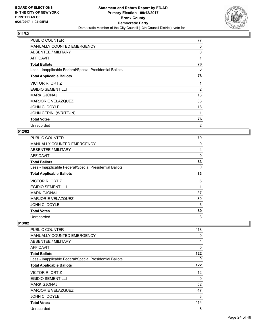

| <b>PUBLIC COUNTER</b>                                    | 77 |
|----------------------------------------------------------|----|
| <b>MANUALLY COUNTED EMERGENCY</b>                        | 0  |
| ABSENTEE / MILITARY                                      | 0  |
| AFFIDAVIT                                                | 1  |
| <b>Total Ballots</b>                                     | 78 |
| Less - Inapplicable Federal/Special Presidential Ballots | 0  |
| <b>Total Applicable Ballots</b>                          | 78 |
| <b>VICTOR R. ORTIZ</b>                                   | 1  |
| <b>EGIDIO SEMENTILLI</b>                                 | 2  |
| <b>MARK GJONAJ</b>                                       | 18 |
| <b>MARJORIE VELAZQUEZ</b>                                | 36 |
| JOHN C. DOYLE                                            | 18 |
| JOHN CERINI (WRITE-IN)                                   | 1  |
| <b>Total Votes</b>                                       | 76 |
| Unrecorded                                               | 2  |

#### **012/82**

| <b>PUBLIC COUNTER</b>                                    | 79 |
|----------------------------------------------------------|----|
| MANUALLY COUNTED EMERGENCY                               | 0  |
| ABSENTEE / MILITARY                                      | 4  |
| AFFIDAVIT                                                | 0  |
| <b>Total Ballots</b>                                     | 83 |
| Less - Inapplicable Federal/Special Presidential Ballots | 0  |
| <b>Total Applicable Ballots</b>                          | 83 |
| VICTOR R. ORTIZ                                          | 6  |
| <b>EGIDIO SEMENTILLI</b>                                 | 1  |
| <b>MARK GJONAJ</b>                                       | 37 |
| MARJORIE VELAZQUEZ                                       | 30 |
| JOHN C. DOYLE                                            | 6  |
| <b>Total Votes</b>                                       | 80 |
| Unrecorded                                               | 3  |

| PUBLIC COUNTER                                           | 118      |
|----------------------------------------------------------|----------|
| MANUALLY COUNTED EMERGENCY                               | 0        |
| ABSENTEE / MILITARY                                      | 4        |
| AFFIDAVIT                                                | $\Omega$ |
| <b>Total Ballots</b>                                     | 122      |
| Less - Inapplicable Federal/Special Presidential Ballots | 0        |
| <b>Total Applicable Ballots</b>                          | 122      |
| <b>VICTOR R. ORTIZ</b>                                   | 12       |
| <b>EGIDIO SEMENTILLI</b>                                 | 0        |
| <b>MARK GJONAJ</b>                                       | 52       |
| <b>MARJORIE VELAZQUEZ</b>                                | 47       |
| JOHN C. DOYLE                                            | 3        |
| <b>Total Votes</b>                                       | 114      |
| Unrecorded                                               | 8        |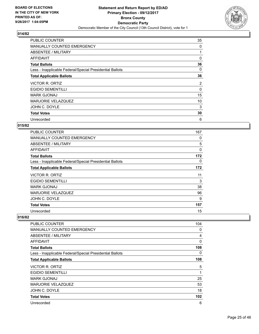

| <b>PUBLIC COUNTER</b>                                    | 35             |
|----------------------------------------------------------|----------------|
| MANUALLY COUNTED EMERGENCY                               | 0              |
| ABSENTEE / MILITARY                                      |                |
| AFFIDAVIT                                                | 0              |
| <b>Total Ballots</b>                                     | 36             |
| Less - Inapplicable Federal/Special Presidential Ballots | 0              |
| <b>Total Applicable Ballots</b>                          | 36             |
| VICTOR R. ORTIZ                                          | $\overline{2}$ |
| <b>EGIDIO SEMENTILLI</b>                                 | 0              |
| <b>MARK GJONAJ</b>                                       | 15             |
| MARJORIE VELAZQUEZ                                       | 10             |
| JOHN C. DOYLE                                            | 3              |
| <b>Total Votes</b>                                       | 30             |
| Unrecorded                                               | 6              |

## **015/82**

| <b>PUBLIC COUNTER</b>                                    | 167 |
|----------------------------------------------------------|-----|
| <b>MANUALLY COUNTED EMERGENCY</b>                        | 0   |
| ABSENTEE / MILITARY                                      | 5   |
| AFFIDAVIT                                                | 0   |
| <b>Total Ballots</b>                                     | 172 |
| Less - Inapplicable Federal/Special Presidential Ballots | 0   |
| <b>Total Applicable Ballots</b>                          | 172 |
| <b>VICTOR R. ORTIZ</b>                                   | 11  |
| <b>EGIDIO SEMENTILLI</b>                                 | 3   |
| <b>MARK GJONAJ</b>                                       | 38  |
| MARJORIE VELAZQUEZ                                       | 96  |
| JOHN C. DOYLE                                            | 9   |
| <b>Total Votes</b>                                       | 157 |
| Unrecorded                                               | 15  |

| PUBLIC COUNTER                                           | 104            |
|----------------------------------------------------------|----------------|
| <b>MANUALLY COUNTED EMERGENCY</b>                        | 0              |
| ABSENTEE / MILITARY                                      | $\overline{4}$ |
| AFFIDAVIT                                                | $\Omega$       |
| <b>Total Ballots</b>                                     | 108            |
| Less - Inapplicable Federal/Special Presidential Ballots | 0              |
| <b>Total Applicable Ballots</b>                          | 108            |
| VICTOR R. ORTIZ                                          | 5              |
| <b>EGIDIO SEMENTILLI</b>                                 | 1              |
| <b>MARK GJONAJ</b>                                       | 25             |
| <b>MARJORIE VELAZQUEZ</b>                                | 53             |
| JOHN C. DOYLE                                            | 18             |
| <b>Total Votes</b>                                       | 102            |
| Unrecorded                                               | 6              |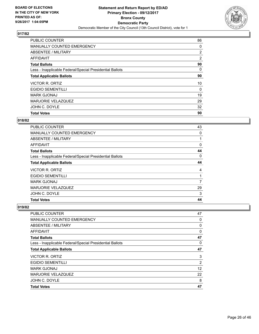

| <b>Total Votes</b>                                       | 90             |
|----------------------------------------------------------|----------------|
| JOHN C. DOYLE                                            | 32             |
| <b>MARJORIE VELAZQUEZ</b>                                | 29             |
| <b>MARK GJONAJ</b>                                       | 19             |
| <b>EGIDIO SEMENTILLI</b>                                 | 0              |
| VICTOR R. ORTIZ                                          | 10             |
| <b>Total Applicable Ballots</b>                          | 90             |
| Less - Inapplicable Federal/Special Presidential Ballots | 0              |
| <b>Total Ballots</b>                                     | 90             |
| <b>AFFIDAVIT</b>                                         | 2              |
| ABSENTEE / MILITARY                                      | $\overline{2}$ |
| MANUALLY COUNTED EMERGENCY                               | 0              |
| <b>PUBLIC COUNTER</b>                                    | 86             |

# **018/82**

| <b>PUBLIC COUNTER</b>                                    | 43          |
|----------------------------------------------------------|-------------|
| <b>MANUALLY COUNTED EMERGENCY</b>                        | $\mathbf 0$ |
| ABSENTEE / MILITARY                                      |             |
| AFFIDAVIT                                                | 0           |
| <b>Total Ballots</b>                                     | 44          |
| Less - Inapplicable Federal/Special Presidential Ballots | 0           |
| <b>Total Applicable Ballots</b>                          | 44          |
| VICTOR R. ORTIZ                                          | 4           |
| <b>EGIDIO SEMENTILLI</b>                                 |             |
| <b>MARK GJONAJ</b>                                       | 7           |
| <b>MARJORIE VELAZQUEZ</b>                                | 29          |
| JOHN C. DOYLE                                            | 3           |
| <b>Total Votes</b>                                       | 44          |

| <b>Total Votes</b>                                       | 47 |
|----------------------------------------------------------|----|
| JOHN C. DOYLE                                            | 8  |
| <b>MARJORIE VELAZQUEZ</b>                                | 22 |
| <b>MARK GJONAJ</b>                                       | 12 |
| <b>EGIDIO SEMENTILLI</b>                                 | 2  |
| VICTOR R. ORTIZ                                          | 3  |
| <b>Total Applicable Ballots</b>                          | 47 |
| Less - Inapplicable Federal/Special Presidential Ballots | 0  |
| <b>Total Ballots</b>                                     | 47 |
| AFFIDAVIT                                                | 0  |
| ABSENTEE / MILITARY                                      | 0  |
| <b>MANUALLY COUNTED EMERGENCY</b>                        | 0  |
| PUBLIC COUNTER                                           | 47 |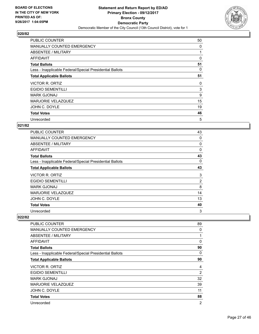

| <b>PUBLIC COUNTER</b>                                    | 50 |
|----------------------------------------------------------|----|
| <b>MANUALLY COUNTED EMERGENCY</b>                        | 0  |
| ABSENTEE / MILITARY                                      |    |
| AFFIDAVIT                                                | 0  |
| <b>Total Ballots</b>                                     | 51 |
| Less - Inapplicable Federal/Special Presidential Ballots | 0  |
| <b>Total Applicable Ballots</b>                          | 51 |
| <b>VICTOR R. ORTIZ</b>                                   | 0  |
| <b>EGIDIO SEMENTILLI</b>                                 | 3  |
| <b>MARK GJONAJ</b>                                       | 9  |
| MARJORIE VELAZQUEZ                                       | 15 |
| JOHN C. DOYLE                                            | 19 |
| <b>Total Votes</b>                                       | 46 |
| Unrecorded                                               | 5  |

## **021/82**

| <b>PUBLIC COUNTER</b>                                    | 43             |
|----------------------------------------------------------|----------------|
| <b>MANUALLY COUNTED EMERGENCY</b>                        | 0              |
| ABSENTEE / MILITARY                                      | 0              |
| AFFIDAVIT                                                | $\Omega$       |
| <b>Total Ballots</b>                                     | 43             |
| Less - Inapplicable Federal/Special Presidential Ballots | 0              |
| <b>Total Applicable Ballots</b>                          | 43             |
| VICTOR R. ORTIZ                                          | 3              |
| <b>EGIDIO SEMENTILLI</b>                                 | $\overline{2}$ |
| <b>MARK GJONAJ</b>                                       | 8              |
| MARJORIE VELAZQUEZ                                       | 14             |
| JOHN C. DOYLE                                            | 13             |
| <b>Total Votes</b>                                       | 40             |
| Unrecorded                                               | 3              |

| <b>PUBLIC COUNTER</b>                                    | 89             |
|----------------------------------------------------------|----------------|
| <b>MANUALLY COUNTED EMERGENCY</b>                        | 0              |
| ABSENTEE / MILITARY                                      | 1              |
| <b>AFFIDAVIT</b>                                         | 0              |
| <b>Total Ballots</b>                                     | 90             |
| Less - Inapplicable Federal/Special Presidential Ballots | 0              |
| <b>Total Applicable Ballots</b>                          | 90             |
| VICTOR R. ORTIZ                                          | 4              |
| <b>EGIDIO SEMENTILLI</b>                                 | $\overline{2}$ |
| <b>MARK GJONAJ</b>                                       | 32             |
| MARJORIE VELAZQUEZ                                       | 39             |
| JOHN C. DOYLE                                            | 11             |
| <b>Total Votes</b>                                       | 88             |
| Unrecorded                                               | $\overline{2}$ |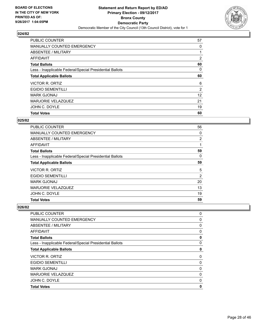

| <b>Total Votes</b>                                       | 60             |
|----------------------------------------------------------|----------------|
|                                                          |                |
| JOHN C. DOYLE                                            | 19             |
| <b>MARJORIE VELAZQUEZ</b>                                | 21             |
| <b>MARK GJONAJ</b>                                       | 12             |
| <b>EGIDIO SEMENTILLI</b>                                 | 2              |
| VICTOR R. ORTIZ                                          | 6              |
| <b>Total Applicable Ballots</b>                          | 60             |
| Less - Inapplicable Federal/Special Presidential Ballots | 0              |
| <b>Total Ballots</b>                                     | 60             |
| <b>AFFIDAVIT</b>                                         | $\overline{2}$ |
| ABSENTEE / MILITARY                                      |                |
| MANUALLY COUNTED EMERGENCY                               | 0              |
| <b>PUBLIC COUNTER</b>                                    | 57             |

#### **025/82**

| <b>PUBLIC COUNTER</b>                                    | 56 |
|----------------------------------------------------------|----|
| <b>MANUALLY COUNTED EMERGENCY</b>                        | 0  |
| ABSENTEE / MILITARY                                      | 2  |
| AFFIDAVIT                                                |    |
| <b>Total Ballots</b>                                     | 59 |
| Less - Inapplicable Federal/Special Presidential Ballots | 0  |
| <b>Total Applicable Ballots</b>                          | 59 |
| VICTOR R. ORTIZ                                          | 5  |
| <b>EGIDIO SEMENTILLI</b>                                 | 2  |
| <b>MARK GJONAJ</b>                                       | 20 |
| <b>MARJORIE VELAZQUEZ</b>                                | 13 |
| JOHN C. DOYLE                                            | 19 |
| <b>Total Votes</b>                                       | 59 |

| <b>Total Votes</b>                                       | 0      |
|----------------------------------------------------------|--------|
| <b>MARJORIE VELAZQUEZ</b><br>JOHN C. DOYLE               | 0<br>0 |
| <b>MARK GJONAJ</b>                                       | 0      |
|                                                          |        |
| <b>EGIDIO SEMENTILLI</b>                                 | 0      |
| <b>VICTOR R. ORTIZ</b>                                   | 0      |
| <b>Total Applicable Ballots</b>                          | 0      |
| Less - Inapplicable Federal/Special Presidential Ballots | 0      |
| <b>Total Ballots</b>                                     | 0      |
| <b>AFFIDAVIT</b>                                         | 0      |
| <b>ABSENTEE / MILITARY</b>                               | 0      |
| <b>MANUALLY COUNTED EMERGENCY</b>                        | 0      |
| PUBLIC COUNTER                                           | 0      |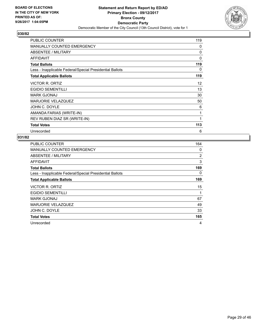

| <b>PUBLIC COUNTER</b>                                    | 119      |
|----------------------------------------------------------|----------|
| MANUALLY COUNTED EMERGENCY                               | 0        |
| ABSENTEE / MILITARY                                      | 0        |
| AFFIDAVIT                                                | $\Omega$ |
| <b>Total Ballots</b>                                     | 119      |
| Less - Inapplicable Federal/Special Presidential Ballots | 0        |
| <b>Total Applicable Ballots</b>                          | 119      |
| <b>VICTOR R. ORTIZ</b>                                   | 12       |
| <b>EGIDIO SEMENTILLI</b>                                 | 13       |
| <b>MARK GJONAJ</b>                                       | 30       |
| <b>MARJORIE VELAZQUEZ</b>                                | 50       |
| JOHN C. DOYLE                                            | 6        |
| AMANDA FARIAS (WRITE-IN)                                 | 1        |
| REV RUBEN DIAZ SR (WRITE-IN)                             | 1        |
| <b>Total Votes</b>                                       | 113      |
| Unrecorded                                               | 6        |

| <b>PUBLIC COUNTER</b>                                    | 164 |
|----------------------------------------------------------|-----|
| <b>MANUALLY COUNTED EMERGENCY</b>                        | 0   |
| ABSENTEE / MILITARY                                      | 2   |
| <b>AFFIDAVIT</b>                                         | 3   |
| <b>Total Ballots</b>                                     | 169 |
| Less - Inapplicable Federal/Special Presidential Ballots | 0   |
| <b>Total Applicable Ballots</b>                          | 169 |
| VICTOR R. ORTIZ                                          | 15  |
| <b>EGIDIO SEMENTILLI</b>                                 | 1   |
| <b>MARK GJONAJ</b>                                       | 67  |
| <b>MARJORIE VELAZQUEZ</b>                                | 49  |
| JOHN C. DOYLE                                            | 33  |
| <b>Total Votes</b>                                       | 165 |
| Unrecorded                                               | 4   |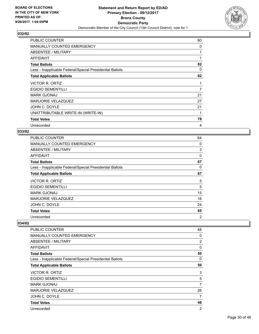

| <b>PUBLIC COUNTER</b>                                    | 80 |
|----------------------------------------------------------|----|
| <b>MANUALLY COUNTED EMERGENCY</b>                        | 0  |
| ABSENTEE / MILITARY                                      | 1  |
| <b>AFFIDAVIT</b>                                         |    |
| <b>Total Ballots</b>                                     | 82 |
| Less - Inapplicable Federal/Special Presidential Ballots | 0  |
| <b>Total Applicable Ballots</b>                          | 82 |
| VICTOR R. ORTIZ                                          | 1  |
| <b>EGIDIO SEMENTILLI</b>                                 | 7  |
| <b>MARK GJONAJ</b>                                       | 21 |
| <b>MARJORIE VELAZQUEZ</b>                                | 27 |
| JOHN C. DOYLE                                            | 21 |
| UNATTRIBUTABLE WRITE-IN (WRITE-IN)                       | 1  |
| <b>Total Votes</b>                                       | 78 |
| Unrecorded                                               | 4  |

#### **033/82**

| <b>PUBLIC COUNTER</b>                                    | 64 |
|----------------------------------------------------------|----|
| MANUALLY COUNTED EMERGENCY                               | 0  |
| ABSENTEE / MILITARY                                      | 3  |
| AFFIDAVIT                                                | 0  |
| <b>Total Ballots</b>                                     | 67 |
| Less - Inapplicable Federal/Special Presidential Ballots | 0  |
| <b>Total Applicable Ballots</b>                          | 67 |
| VICTOR R. ORTIZ                                          | 5  |
| <b>EGIDIO SEMENTILLI</b>                                 | 5  |
| <b>MARK GJONAJ</b>                                       | 15 |
| MARJORIE VELAZQUEZ                                       | 16 |
| JOHN C. DOYLE                                            | 24 |
| <b>Total Votes</b>                                       | 65 |
| Unrecorded                                               | 2  |

| PUBLIC COUNTER                                           | 48             |
|----------------------------------------------------------|----------------|
| <b>MANUALLY COUNTED EMERGENCY</b>                        | 0              |
| ABSENTEE / MILITARY                                      | $\overline{2}$ |
| AFFIDAVIT                                                | 0              |
| <b>Total Ballots</b>                                     | 50             |
| Less - Inapplicable Federal/Special Presidential Ballots | 0              |
| <b>Total Applicable Ballots</b>                          | 50             |
| <b>VICTOR R. ORTIZ</b>                                   | 3              |
| <b>EGIDIO SEMENTILLI</b>                                 | 5              |
| <b>MARK GJONAJ</b>                                       | 7              |
| <b>MARJORIE VELAZQUEZ</b>                                | 26             |
| JOHN C. DOYLE                                            | 7              |
| <b>Total Votes</b>                                       | 48             |
| Unrecorded                                               | 2              |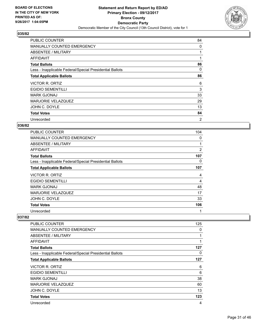

| <b>PUBLIC COUNTER</b>                                    | 84             |
|----------------------------------------------------------|----------------|
| <b>MANUALLY COUNTED EMERGENCY</b>                        | 0              |
| ABSENTEE / MILITARY                                      |                |
| AFFIDAVIT                                                |                |
| <b>Total Ballots</b>                                     | 86             |
| Less - Inapplicable Federal/Special Presidential Ballots | 0              |
| <b>Total Applicable Ballots</b>                          | 86             |
| VICTOR R. ORTIZ                                          | 6              |
| <b>EGIDIO SEMENTILLI</b>                                 | 3              |
| <b>MARK GJONAJ</b>                                       | 33             |
| MARJORIE VELAZQUEZ                                       | 29             |
| JOHN C. DOYLE                                            | 13             |
| <b>Total Votes</b>                                       | 84             |
| Unrecorded                                               | $\overline{2}$ |

## **036/82**

| <b>PUBLIC COUNTER</b>                                    | 104            |
|----------------------------------------------------------|----------------|
| <b>MANUALLY COUNTED EMERGENCY</b>                        | 0              |
| ABSENTEE / MILITARY                                      | 1              |
| AFFIDAVIT                                                | $\overline{2}$ |
| <b>Total Ballots</b>                                     | 107            |
| Less - Inapplicable Federal/Special Presidential Ballots | 0              |
| <b>Total Applicable Ballots</b>                          | 107            |
| VICTOR R. ORTIZ                                          | 4              |
| <b>EGIDIO SEMENTILLI</b>                                 | 4              |
| <b>MARK GJONAJ</b>                                       | 48             |
| <b>MARJORIE VELAZQUEZ</b>                                | 17             |
| JOHN C. DOYLE                                            | 33             |
| <b>Total Votes</b>                                       | 106            |
| Unrecorded                                               | 1              |

| <b>PUBLIC COUNTER</b>                                    | 125 |
|----------------------------------------------------------|-----|
| <b>MANUALLY COUNTED EMERGENCY</b>                        | 0   |
| ABSENTEE / MILITARY                                      | 1   |
| AFFIDAVIT                                                | 1   |
| <b>Total Ballots</b>                                     | 127 |
| Less - Inapplicable Federal/Special Presidential Ballots | 0   |
| <b>Total Applicable Ballots</b>                          | 127 |
| VICTOR R. ORTIZ                                          | 6   |
| <b>EGIDIO SEMENTILLI</b>                                 | 6   |
| <b>MARK GJONAJ</b>                                       | 38  |
| MARJORIE VELAZQUEZ                                       | 60  |
| JOHN C. DOYLE                                            | 13  |
| <b>Total Votes</b>                                       | 123 |
| Unrecorded                                               | 4   |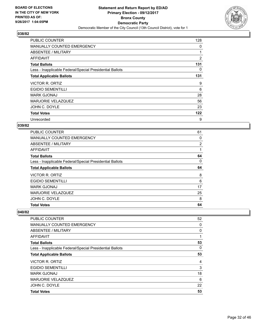

| <b>PUBLIC COUNTER</b>                                    | 128            |
|----------------------------------------------------------|----------------|
| <b>MANUALLY COUNTED EMERGENCY</b>                        | 0              |
| ABSENTEE / MILITARY                                      |                |
| AFFIDAVIT                                                | $\overline{2}$ |
| <b>Total Ballots</b>                                     | 131            |
| Less - Inapplicable Federal/Special Presidential Ballots | 0              |
| <b>Total Applicable Ballots</b>                          | 131            |
| VICTOR R. ORTIZ                                          | 9              |
| <b>EGIDIO SEMENTILLI</b>                                 | 6              |
| <b>MARK GJONAJ</b>                                       | 28             |
| <b>MARJORIE VELAZQUEZ</b>                                | 56             |
| JOHN C. DOYLE                                            | 23             |
| <b>Total Votes</b>                                       | 122            |
| Unrecorded                                               | 9              |

## **039/82**

| <b>PUBLIC COUNTER</b>                                    | 61 |
|----------------------------------------------------------|----|
| <b>MANUALLY COUNTED EMERGENCY</b>                        | 0  |
| ABSENTEE / MILITARY                                      | 2  |
| <b>AFFIDAVIT</b>                                         |    |
| <b>Total Ballots</b>                                     | 64 |
| Less - Inapplicable Federal/Special Presidential Ballots | 0  |
| <b>Total Applicable Ballots</b>                          | 64 |
| VICTOR R. ORTIZ                                          | 8  |
| <b>EGIDIO SEMENTILLI</b>                                 | 6  |
| <b>MARK GJONAJ</b>                                       | 17 |
| <b>MARJORIE VELAZQUEZ</b>                                | 25 |
| JOHN C. DOYLE                                            | 8  |
| <b>Total Votes</b>                                       | 64 |

| <b>PUBLIC COUNTER</b>                                    | 52 |
|----------------------------------------------------------|----|
| <b>MANUALLY COUNTED EMERGENCY</b>                        | 0  |
| ABSENTEE / MILITARY                                      | 0  |
| AFFIDAVIT                                                |    |
| <b>Total Ballots</b>                                     | 53 |
| Less - Inapplicable Federal/Special Presidential Ballots | 0  |
| <b>Total Applicable Ballots</b>                          | 53 |
| VICTOR R. ORTIZ                                          | 4  |
| <b>EGIDIO SEMENTILLI</b>                                 | 3  |
| <b>MARK GJONAJ</b>                                       | 18 |
| <b>MARJORIE VELAZQUEZ</b>                                | 6  |
| JOHN C. DOYLE                                            | 22 |
| <b>Total Votes</b>                                       | 53 |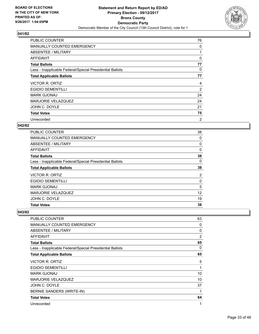

| <b>PUBLIC COUNTER</b>                                    | 76             |
|----------------------------------------------------------|----------------|
| MANUALLY COUNTED EMERGENCY                               | 0              |
| ABSENTEE / MILITARY                                      |                |
| AFFIDAVIT                                                | 0              |
| <b>Total Ballots</b>                                     | 77             |
| Less - Inapplicable Federal/Special Presidential Ballots | 0              |
| <b>Total Applicable Ballots</b>                          | 77             |
| <b>VICTOR R. ORTIZ</b>                                   | 4              |
| <b>EGIDIO SEMENTILLI</b>                                 | $\overline{2}$ |
| <b>MARK GJONAJ</b>                                       | 24             |
|                                                          |                |
| <b>MARJORIE VELAZQUEZ</b>                                | 24             |
| JOHN C. DOYLE                                            | 21             |
| <b>Total Votes</b>                                       | 75             |

## **042/82**

| PUBLIC COUNTER                                           | 38 |
|----------------------------------------------------------|----|
| <b>MANUALLY COUNTED EMERGENCY</b>                        | 0  |
| ABSENTEE / MILITARY                                      | 0  |
| AFFIDAVIT                                                | 0  |
| <b>Total Ballots</b>                                     | 38 |
| Less - Inapplicable Federal/Special Presidential Ballots | 0  |
| <b>Total Applicable Ballots</b>                          | 38 |
| VICTOR R. ORTIZ                                          | 2  |
| <b>EGIDIO SEMENTILLI</b>                                 | 0  |
| <b>MARK GJONAJ</b>                                       | 5  |
| MARJORIE VELAZQUEZ                                       | 12 |
| JOHN C. DOYLE                                            | 19 |
| <b>Total Votes</b>                                       | 38 |

| PUBLIC COUNTER                                           | 63 |
|----------------------------------------------------------|----|
| <b>MANUALLY COUNTED EMERGENCY</b>                        | 0  |
| ABSENTEE / MILITARY                                      | 0  |
| AFFIDAVIT                                                | 2  |
| <b>Total Ballots</b>                                     | 65 |
| Less - Inapplicable Federal/Special Presidential Ballots | 0  |
| <b>Total Applicable Ballots</b>                          | 65 |
| <b>VICTOR R. ORTIZ</b>                                   | 5  |
| <b>EGIDIO SEMENTILLI</b>                                 | 1  |
| <b>MARK GJONAJ</b>                                       | 10 |
| <b>MARJORIE VELAZQUEZ</b>                                | 10 |
| JOHN C. DOYLE                                            | 37 |
| BERNIE SANDERS (WRITE-IN)                                | 1  |
| <b>Total Votes</b>                                       | 64 |
| Unrecorded                                               | 1  |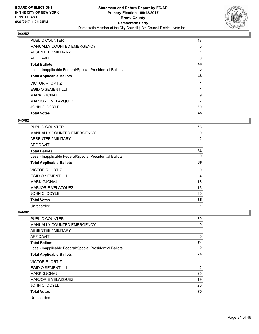

| <b>PUBLIC COUNTER</b>                                    | 47 |
|----------------------------------------------------------|----|
| <b>MANUALLY COUNTED EMERGENCY</b>                        | 0  |
| ABSENTEE / MILITARY                                      |    |
| AFFIDAVIT                                                | 0  |
| <b>Total Ballots</b>                                     | 48 |
| Less - Inapplicable Federal/Special Presidential Ballots | 0  |
| <b>Total Applicable Ballots</b>                          | 48 |
| VICTOR R. ORTIZ                                          |    |
| <b>EGIDIO SEMENTILLI</b>                                 |    |
| <b>MARK GJONAJ</b>                                       | 9  |
| MARJORIE VELAZQUEZ                                       | 7  |
| JOHN C. DOYLE                                            | 30 |
| <b>Total Votes</b>                                       | 48 |

## **045/82**

| PUBLIC COUNTER                                           | 63             |
|----------------------------------------------------------|----------------|
| <b>MANUALLY COUNTED EMERGENCY</b>                        | 0              |
| <b>ABSENTEE / MILITARY</b>                               | $\overline{2}$ |
| <b>AFFIDAVIT</b>                                         | 1              |
| <b>Total Ballots</b>                                     | 66             |
| Less - Inapplicable Federal/Special Presidential Ballots | 0              |
| <b>Total Applicable Ballots</b>                          | 66             |
| VICTOR R. ORTIZ                                          | 0              |
| <b>EGIDIO SEMENTILLI</b>                                 | 4              |
| <b>MARK GJONAJ</b>                                       | 18             |
| MARJORIE VELAZQUEZ                                       | 13             |
| JOHN C. DOYLE                                            | 30             |
| <b>Total Votes</b>                                       | 65             |
| Unrecorded                                               | 1              |

| <b>PUBLIC COUNTER</b>                                    | 70 |
|----------------------------------------------------------|----|
| MANUALLY COUNTED EMERGENCY                               | 0  |
| ABSENTEE / MILITARY                                      | 4  |
| AFFIDAVIT                                                | 0  |
| <b>Total Ballots</b>                                     | 74 |
| Less - Inapplicable Federal/Special Presidential Ballots | 0  |
| <b>Total Applicable Ballots</b>                          | 74 |
| VICTOR R. ORTIZ                                          | 1  |
| <b>EGIDIO SEMENTILLI</b>                                 | 2  |
| <b>MARK GJONAJ</b>                                       | 25 |
| <b>MARJORIE VELAZQUEZ</b>                                | 19 |
| JOHN C. DOYLE                                            | 26 |
| <b>Total Votes</b>                                       | 73 |
| Unrecorded                                               | 1  |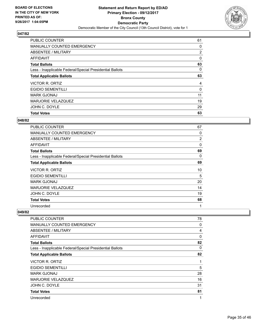

| <b>Total Votes</b>                                       | 63             |
|----------------------------------------------------------|----------------|
| JOHN C. DOYLE                                            | 29             |
| <b>MARJORIE VELAZQUEZ</b>                                | 19             |
| <b>MARK GJONAJ</b>                                       | 11             |
| <b>EGIDIO SEMENTILLI</b>                                 | 0              |
| VICTOR R. ORTIZ                                          | 4              |
| <b>Total Applicable Ballots</b>                          | 63             |
| Less - Inapplicable Federal/Special Presidential Ballots | 0              |
| <b>Total Ballots</b>                                     | 63             |
| <b>AFFIDAVIT</b>                                         | 0              |
| ABSENTEE / MILITARY                                      | $\overline{2}$ |
| MANUALLY COUNTED EMERGENCY                               | 0              |
| <b>PUBLIC COUNTER</b>                                    | 61             |

#### **048/82**

| <b>PUBLIC COUNTER</b>                                    | 67             |
|----------------------------------------------------------|----------------|
| <b>MANUALLY COUNTED EMERGENCY</b>                        | 0              |
| <b>ABSENTEE / MILITARY</b>                               | $\overline{2}$ |
| AFFIDAVIT                                                | $\Omega$       |
| <b>Total Ballots</b>                                     | 69             |
| Less - Inapplicable Federal/Special Presidential Ballots | 0              |
| <b>Total Applicable Ballots</b>                          | 69             |
| VICTOR R. ORTIZ                                          | 10             |
| <b>EGIDIO SEMENTILLI</b>                                 | 5              |
| <b>MARK GJONAJ</b>                                       | 20             |
| MARJORIE VELAZQUEZ                                       | 14             |
| JOHN C. DOYLE                                            | 19             |
| <b>Total Votes</b>                                       | 68             |
| Unrecorded                                               | 1              |

| <b>PUBLIC COUNTER</b>                                    | 78 |
|----------------------------------------------------------|----|
| MANUALLY COUNTED EMERGENCY                               | 0  |
| ABSENTEE / MILITARY                                      | 4  |
| AFFIDAVIT                                                | 0  |
| <b>Total Ballots</b>                                     | 82 |
| Less - Inapplicable Federal/Special Presidential Ballots | 0  |
| <b>Total Applicable Ballots</b>                          | 82 |
| VICTOR R. ORTIZ                                          | 1  |
| <b>EGIDIO SEMENTILLI</b>                                 | 5  |
| <b>MARK GJONAJ</b>                                       | 28 |
| <b>MARJORIE VELAZQUEZ</b>                                | 16 |
| JOHN C. DOYLE                                            | 31 |
| <b>Total Votes</b>                                       | 81 |
| Unrecorded                                               | 1  |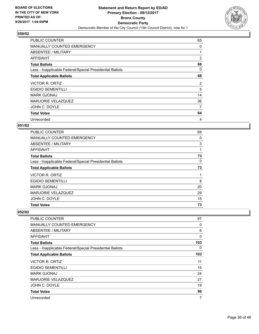

| <b>PUBLIC COUNTER</b>                                    | 65             |
|----------------------------------------------------------|----------------|
| <b>MANUALLY COUNTED EMERGENCY</b>                        | 0              |
| ABSENTEE / MILITARY                                      |                |
| AFFIDAVIT                                                | $\overline{2}$ |
| <b>Total Ballots</b>                                     | 68             |
| Less - Inapplicable Federal/Special Presidential Ballots | 0              |
| <b>Total Applicable Ballots</b>                          | 68             |
| VICTOR R. ORTIZ                                          | 2              |
| <b>EGIDIO SEMENTILLI</b>                                 | 5              |
| <b>MARK GJONAJ</b>                                       | 14             |
|                                                          |                |
| <b>MARJORIE VELAZQUEZ</b>                                | 36             |
| JOHN C. DOYLE                                            | 7              |
| <b>Total Votes</b>                                       | 64             |

## **051/82**

| PUBLIC COUNTER                                           | 69 |
|----------------------------------------------------------|----|
| <b>MANUALLY COUNTED EMERGENCY</b>                        | 0  |
| ABSENTEE / MILITARY                                      | 3  |
| AFFIDAVIT                                                |    |
| <b>Total Ballots</b>                                     | 73 |
| Less - Inapplicable Federal/Special Presidential Ballots | 0  |
| <b>Total Applicable Ballots</b>                          | 73 |
| VICTOR R. ORTIZ                                          |    |
| <b>EGIDIO SEMENTILLI</b>                                 | 8  |
| <b>MARK GJONAJ</b>                                       | 20 |
| <b>MARJORIE VELAZQUEZ</b>                                | 29 |
| JOHN C. DOYLE                                            | 15 |
| <b>Total Votes</b>                                       | 73 |

| <b>PUBLIC COUNTER</b>                                    | 97  |
|----------------------------------------------------------|-----|
| <b>MANUALLY COUNTED EMERGENCY</b>                        | 0   |
| ABSENTEE / MILITARY                                      | 6   |
| AFFIDAVIT                                                | 0   |
| <b>Total Ballots</b>                                     | 103 |
| Less - Inapplicable Federal/Special Presidential Ballots | 0   |
| <b>Total Applicable Ballots</b>                          | 103 |
| <b>VICTOR R. ORTIZ</b>                                   | 11  |
| <b>EGIDIO SEMENTILLI</b>                                 | 15  |
| <b>MARK GJONAJ</b>                                       | 24  |
| <b>MARJORIE VELAZQUEZ</b>                                | 27  |
| JOHN C. DOYLE                                            | 19  |
| <b>Total Votes</b>                                       | 96  |
| Unrecorded                                               | 7   |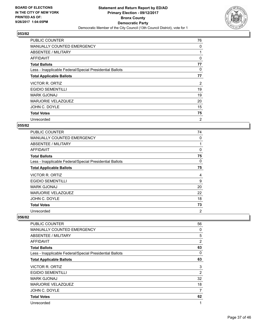

| <b>PUBLIC COUNTER</b>                                    | 76 |
|----------------------------------------------------------|----|
| <b>MANUALLY COUNTED EMERGENCY</b>                        | 0  |
| ABSENTEE / MILITARY                                      |    |
| AFFIDAVIT                                                | 0  |
| <b>Total Ballots</b>                                     | 77 |
| Less - Inapplicable Federal/Special Presidential Ballots | 0  |
| <b>Total Applicable Ballots</b>                          | 77 |
| VICTOR R. ORTIZ                                          | 2  |
| <b>EGIDIO SEMENTILLI</b>                                 | 19 |
| <b>MARK GJONAJ</b>                                       | 19 |
|                                                          |    |
| <b>MARJORIE VELAZQUEZ</b>                                | 20 |
| JOHN C. DOYLE                                            | 15 |
| <b>Total Votes</b>                                       | 75 |

## **055/82**

| <b>PUBLIC COUNTER</b>                                    | 74 |
|----------------------------------------------------------|----|
| <b>MANUALLY COUNTED EMERGENCY</b>                        | 0  |
| ABSENTEE / MILITARY                                      |    |
| <b>AFFIDAVIT</b>                                         | 0  |
| <b>Total Ballots</b>                                     | 75 |
| Less - Inapplicable Federal/Special Presidential Ballots | 0  |
| <b>Total Applicable Ballots</b>                          | 75 |
| VICTOR R. ORTIZ                                          | 4  |
| <b>EGIDIO SEMENTILLI</b>                                 | 9  |
| <b>MARK GJONAJ</b>                                       | 20 |
| MARJORIE VELAZQUEZ                                       | 22 |
| JOHN C. DOYLE                                            | 18 |
| <b>Total Votes</b>                                       | 73 |
| Unrecorded                                               | 2  |

| PUBLIC COUNTER                                           | 56             |
|----------------------------------------------------------|----------------|
| MANUALLY COUNTED EMERGENCY                               | 0              |
| ABSENTEE / MILITARY                                      | 5              |
| AFFIDAVIT                                                | $\overline{2}$ |
| <b>Total Ballots</b>                                     | 63             |
| Less - Inapplicable Federal/Special Presidential Ballots | 0              |
| <b>Total Applicable Ballots</b>                          | 63             |
| VICTOR R. ORTIZ                                          | 3              |
| <b>EGIDIO SEMENTILLI</b>                                 | 2              |
| <b>MARK GJONAJ</b>                                       | 32             |
| <b>MARJORIE VELAZQUEZ</b>                                | 18             |
| JOHN C. DOYLE                                            | 7              |
| <b>Total Votes</b>                                       | 62             |
| Unrecorded                                               | 1              |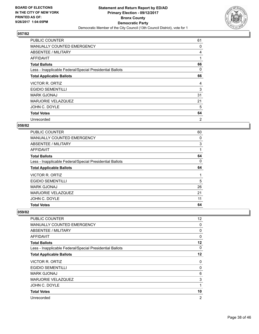

| <b>PUBLIC COUNTER</b>                                    | 61 |
|----------------------------------------------------------|----|
| <b>MANUALLY COUNTED EMERGENCY</b>                        | 0  |
| ABSENTEE / MILITARY                                      | 4  |
| AFFIDAVIT                                                | 1  |
| <b>Total Ballots</b>                                     | 66 |
| Less - Inapplicable Federal/Special Presidential Ballots | 0  |
| <b>Total Applicable Ballots</b>                          | 66 |
| <b>VICTOR R. ORTIZ</b>                                   | 4  |
| <b>EGIDIO SEMENTILLI</b>                                 | 3  |
| <b>MARK GJONAJ</b>                                       | 31 |
| <b>MARJORIE VELAZQUEZ</b>                                | 21 |
| JOHN C. DOYLE                                            | 5  |
|                                                          | 64 |
| <b>Total Votes</b>                                       |    |

## **058/82**

| <b>PUBLIC COUNTER</b>                                    | 60 |
|----------------------------------------------------------|----|
| <b>MANUALLY COUNTED EMERGENCY</b>                        | 0  |
| ABSENTEE / MILITARY                                      | 3  |
| <b>AFFIDAVIT</b>                                         | 1  |
| <b>Total Ballots</b>                                     | 64 |
| Less - Inapplicable Federal/Special Presidential Ballots | 0  |
| <b>Total Applicable Ballots</b>                          | 64 |
| VICTOR R. ORTIZ                                          | 1  |
| <b>EGIDIO SEMENTILLI</b>                                 | 5  |
| <b>MARK GJONAJ</b>                                       | 26 |
| MARJORIE VELAZQUEZ                                       | 21 |
| JOHN C. DOYLE                                            | 11 |
| <b>Total Votes</b>                                       | 64 |

| PUBLIC COUNTER                                           | 12 <sup>°</sup> |
|----------------------------------------------------------|-----------------|
| <b>MANUALLY COUNTED EMERGENCY</b>                        | 0               |
| ABSENTEE / MILITARY                                      | 0               |
| <b>AFFIDAVIT</b>                                         | 0               |
| <b>Total Ballots</b>                                     | 12              |
| Less - Inapplicable Federal/Special Presidential Ballots | 0               |
| <b>Total Applicable Ballots</b>                          | 12              |
| VICTOR R. ORTIZ                                          | 0               |
| <b>EGIDIO SEMENTILLI</b>                                 | 0               |
| <b>MARK GJONAJ</b>                                       | 6               |
| MARJORIE VELAZQUEZ                                       | 3               |
| JOHN C. DOYLE                                            | 1               |
| <b>Total Votes</b>                                       | 10              |
| Unrecorded                                               | $\overline{2}$  |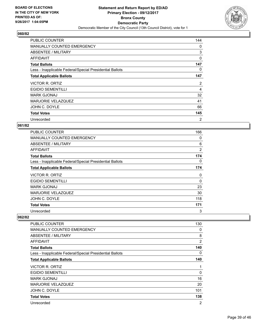

| <b>PUBLIC COUNTER</b>                                    | 144 |
|----------------------------------------------------------|-----|
| <b>MANUALLY COUNTED EMERGENCY</b>                        | 0   |
| ABSENTEE / MILITARY                                      | 3   |
| AFFIDAVIT                                                | 0   |
| <b>Total Ballots</b>                                     | 147 |
| Less - Inapplicable Federal/Special Presidential Ballots | 0   |
| <b>Total Applicable Ballots</b>                          | 147 |
| VICTOR R. ORTIZ                                          | 2   |
|                                                          |     |
| <b>EGIDIO SEMENTILLI</b>                                 | 4   |
| <b>MARK GJONAJ</b>                                       | 32  |
| <b>MARJORIE VELAZQUEZ</b>                                | 41  |
| JOHN C. DOYLE                                            | 66  |
| <b>Total Votes</b>                                       | 145 |

## **061/82**

| <b>PUBLIC COUNTER</b>                                    | 166            |
|----------------------------------------------------------|----------------|
| <b>MANUALLY COUNTED EMERGENCY</b>                        | 0              |
| <b>ABSENTEE / MILITARY</b>                               | 6              |
| <b>AFFIDAVIT</b>                                         | $\overline{2}$ |
| <b>Total Ballots</b>                                     | 174            |
| Less - Inapplicable Federal/Special Presidential Ballots | 0              |
| <b>Total Applicable Ballots</b>                          | 174            |
| VICTOR R. ORTIZ                                          | 0              |
| <b>EGIDIO SEMENTILLI</b>                                 | 0              |
| <b>MARK GJONAJ</b>                                       | 23             |
| <b>MARJORIE VELAZQUEZ</b>                                | 30             |
| JOHN C. DOYLE                                            | 118            |
| <b>Total Votes</b>                                       | 171            |
| Unrecorded                                               | 3              |

| <b>PUBLIC COUNTER</b>                                    | 130            |
|----------------------------------------------------------|----------------|
| <b>MANUALLY COUNTED EMERGENCY</b>                        | 0              |
| ABSENTEE / MILITARY                                      | 8              |
| AFFIDAVIT                                                | 2              |
| <b>Total Ballots</b>                                     | 140            |
| Less - Inapplicable Federal/Special Presidential Ballots | 0              |
| <b>Total Applicable Ballots</b>                          | 140            |
| VICTOR R. ORTIZ                                          | 1              |
| <b>EGIDIO SEMENTILLI</b>                                 | 0              |
| <b>MARK GJONAJ</b>                                       | 16             |
| MARJORIE VELAZQUEZ                                       | 20             |
| JOHN C. DOYLE                                            | 101            |
| <b>Total Votes</b>                                       | 138            |
| Unrecorded                                               | $\overline{2}$ |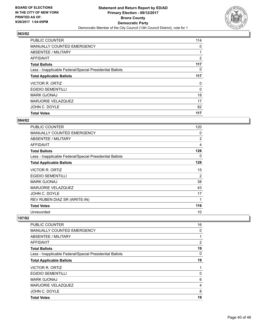

| <b>Total Votes</b>                                       | 117 |
|----------------------------------------------------------|-----|
| JOHN C. DOYLE                                            | 82  |
| <b>MARJORIE VELAZQUEZ</b>                                | 17  |
| <b>MARK GJONAJ</b>                                       | 18  |
| <b>EGIDIO SEMENTILLI</b>                                 | 0   |
| VICTOR R. ORTIZ                                          | 0   |
| <b>Total Applicable Ballots</b>                          | 117 |
| Less - Inapplicable Federal/Special Presidential Ballots | 0   |
| <b>Total Ballots</b>                                     | 117 |
| AFFIDAVIT                                                | 2   |
| ABSENTEE / MILITARY                                      |     |
| <b>MANUALLY COUNTED EMERGENCY</b>                        | 0   |
| <b>PUBLIC COUNTER</b>                                    | 114 |

## **064/82**

| <b>PUBLIC COUNTER</b>                                    | 120            |
|----------------------------------------------------------|----------------|
| <b>MANUALLY COUNTED EMERGENCY</b>                        | 0              |
| ABSENTEE / MILITARY                                      | $\overline{2}$ |
| AFFIDAVIT                                                | 4              |
| <b>Total Ballots</b>                                     | 126            |
| Less - Inapplicable Federal/Special Presidential Ballots | 0              |
| <b>Total Applicable Ballots</b>                          | 126            |
| <b>VICTOR R. ORTIZ</b>                                   | 15             |
| <b>EGIDIO SEMENTILLI</b>                                 | 2              |
| <b>MARK GJONAJ</b>                                       | 38             |
| <b>MARJORIE VELAZQUEZ</b>                                | 43             |
| JOHN C. DOYLE                                            | 17             |
| REV RUBEN DIAZ SR (WRITE-IN)                             | $\mathbf 1$    |
| <b>Total Votes</b>                                       | 116            |
| Unrecorded                                               | 10             |

| <b>PUBLIC COUNTER</b>                                    | 16 |
|----------------------------------------------------------|----|
| <b>MANUALLY COUNTED EMERGENCY</b>                        | 0  |
| ABSENTEE / MILITARY                                      | 1  |
| AFFIDAVIT                                                | 2  |
| <b>Total Ballots</b>                                     | 19 |
| Less - Inapplicable Federal/Special Presidential Ballots | 0  |
| <b>Total Applicable Ballots</b>                          | 19 |
| <b>VICTOR R. ORTIZ</b>                                   | 1  |
| <b>EGIDIO SEMENTILLI</b>                                 | 0  |
| <b>MARK GJONAJ</b>                                       | 6  |
| <b>MARJORIE VELAZQUEZ</b>                                | 4  |
| JOHN C. DOYLE                                            | 8  |
| <b>Total Votes</b>                                       | 19 |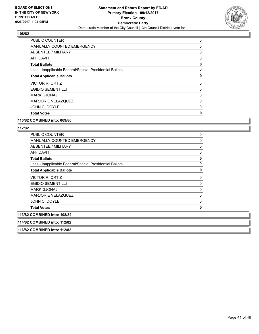

| 0        |
|----------|
| 0        |
| 0        |
| 0        |
| 0        |
| 0        |
| 0        |
| 0        |
| 0        |
| 0        |
| 0        |
| $\Omega$ |
| 0        |
|          |

#### **110/82 COMBINED into: 069/80**

| <b>PUBLIC COUNTER</b>                                    | 0            |
|----------------------------------------------------------|--------------|
| MANUALLY COUNTED EMERGENCY                               | 0            |
| ABSENTEE / MILITARY                                      | 0            |
| <b>AFFIDAVIT</b>                                         | 0            |
| <b>Total Ballots</b>                                     | 0            |
| Less - Inapplicable Federal/Special Presidential Ballots | $\mathbf 0$  |
| <b>Total Applicable Ballots</b>                          | 0            |
| VICTOR R. ORTIZ                                          | 0            |
| <b>EGIDIO SEMENTILLI</b>                                 | 0            |
| <b>MARK GJONAJ</b>                                       | 0            |
| MARJORIE VELAZQUEZ                                       | 0            |
| JOHN C. DOYLE                                            | $\mathbf{0}$ |
| <b>Total Votes</b>                                       | O            |
| 113/82 COMBINED into: 108/82                             |              |
| 114/82 COMBINED into: 112/82                             |              |
| 116/82 COMBINED into: 112/82                             |              |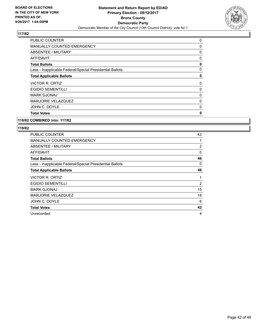

| <b>Total Votes</b>                                       | $\mathbf{0}$ |
|----------------------------------------------------------|--------------|
| JOHN C. DOYLE                                            | 0            |
| <b>MARJORIE VELAZQUEZ</b>                                | 0            |
| <b>MARK GJONAJ</b>                                       | 0            |
| <b>EGIDIO SEMENTILLI</b>                                 | 0            |
| <b>VICTOR R. ORTIZ</b>                                   | 0            |
| <b>Total Applicable Ballots</b>                          | 0            |
| Less - Inapplicable Federal/Special Presidential Ballots | 0            |
| <b>Total Ballots</b>                                     | 0            |
| AFFIDAVIT                                                | 0            |
| ABSENTEE / MILITARY                                      | 0            |
| <b>MANUALLY COUNTED EMERGENCY</b>                        | 0            |
| <b>PUBLIC COUNTER</b>                                    | 0            |

#### **118/82 COMBINED into: 117/82**

| PUBLIC COUNTER                                           | 43 |
|----------------------------------------------------------|----|
| <b>MANUALLY COUNTED EMERGENCY</b>                        |    |
| <b>ABSENTEE / MILITARY</b>                               | 2  |
| AFFIDAVIT                                                | 0  |
| <b>Total Ballots</b>                                     | 46 |
| Less - Inapplicable Federal/Special Presidential Ballots | 0  |
| <b>Total Applicable Ballots</b>                          | 46 |
| VICTOR R. ORTIZ                                          |    |
| <b>EGIDIO SEMENTILLI</b>                                 | 2  |
| <b>MARK GJONAJ</b>                                       | 15 |
| <b>MARJORIE VELAZQUEZ</b>                                | 18 |
|                                                          |    |
| JOHN C. DOYLE                                            | 6  |
| <b>Total Votes</b>                                       | 42 |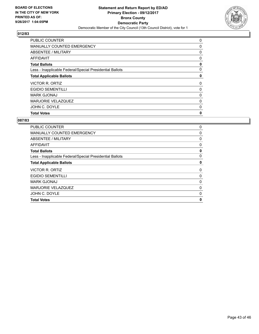

| <b>Total Votes</b>                                       | 0 |
|----------------------------------------------------------|---|
| JOHN C. DOYLE                                            | 0 |
| MARJORIE VELAZQUEZ                                       | 0 |
| <b>MARK GJONAJ</b>                                       | 0 |
| <b>EGIDIO SEMENTILLI</b>                                 | 0 |
| VICTOR R. ORTIZ                                          | 0 |
| <b>Total Applicable Ballots</b>                          | 0 |
| Less - Inapplicable Federal/Special Presidential Ballots | 0 |
| <b>Total Ballots</b>                                     | 0 |
| AFFIDAVIT                                                | 0 |
| ABSENTEE / MILITARY                                      | 0 |
| MANUALLY COUNTED EMERGENCY                               | 0 |
| <b>PUBLIC COUNTER</b>                                    | 0 |

| <b>PUBLIC COUNTER</b>                                    | 0        |
|----------------------------------------------------------|----------|
| MANUALLY COUNTED EMERGENCY                               | 0        |
| ABSENTEE / MILITARY                                      | 0        |
| AFFIDAVIT                                                | 0        |
| <b>Total Ballots</b>                                     | 0        |
| Less - Inapplicable Federal/Special Presidential Ballots | $\Omega$ |
| <b>Total Applicable Ballots</b>                          | 0        |
| VICTOR R. ORTIZ                                          | 0        |
| <b>EGIDIO SEMENTILLI</b>                                 | 0        |
| <b>MARK GJONAJ</b>                                       | 0        |
| MARJORIE VELAZQUEZ                                       | 0        |
| JOHN C. DOYLE                                            | 0        |
| <b>Total Votes</b>                                       | 0        |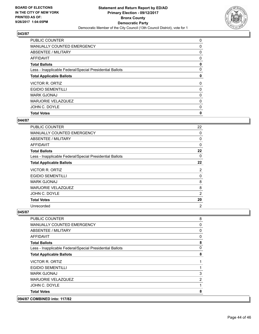

| <b>Total Votes</b>                                       | 0 |
|----------------------------------------------------------|---|
| JOHN C. DOYLE                                            | 0 |
| <b>MARJORIE VELAZQUEZ</b>                                | 0 |
| <b>MARK GJONAJ</b>                                       | 0 |
| <b>EGIDIO SEMENTILLI</b>                                 | 0 |
| <b>VICTOR R. ORTIZ</b>                                   | 0 |
| <b>Total Applicable Ballots</b>                          | 0 |
| Less - Inapplicable Federal/Special Presidential Ballots | 0 |
| <b>Total Ballots</b>                                     | 0 |
| AFFIDAVIT                                                | 0 |
| ABSENTEE / MILITARY                                      | 0 |
| MANUALLY COUNTED EMERGENCY                               | 0 |
| <b>PUBLIC COUNTER</b>                                    | 0 |

#### **044/87**

| PUBLIC COUNTER                                           | 22             |
|----------------------------------------------------------|----------------|
| <b>MANUALLY COUNTED EMERGENCY</b>                        | 0              |
| <b>ABSENTEE / MILITARY</b>                               | 0              |
| AFFIDAVIT                                                | 0              |
| <b>Total Ballots</b>                                     | 22             |
| Less - Inapplicable Federal/Special Presidential Ballots | 0              |
| <b>Total Applicable Ballots</b>                          | 22             |
| VICTOR R. ORTIZ                                          | 2              |
| <b>EGIDIO SEMENTILLI</b>                                 | 0              |
| <b>MARK GJONAJ</b>                                       | 8              |
| MARJORIE VELAZQUEZ                                       | 8              |
| JOHN C. DOYLE                                            | $\overline{2}$ |
| <b>Total Votes</b>                                       | 20             |
| Unrecorded                                               | 2              |

## **045/87**

| <b>COMBINED into: 117/82</b>                             |                |
|----------------------------------------------------------|----------------|
| <b>Total Votes</b>                                       | 8              |
| JOHN C. DOYLE                                            | 1              |
| MARJORIE VELAZQUEZ                                       | $\overline{2}$ |
| <b>MARK GJONAJ</b>                                       | 3              |
| <b>EGIDIO SEMENTILLI</b>                                 |                |
| VICTOR R. ORTIZ                                          | 1              |
| <b>Total Applicable Ballots</b>                          | 8              |
| Less - Inapplicable Federal/Special Presidential Ballots | 0              |
| <b>Total Ballots</b>                                     | 8              |
| <b>AFFIDAVIT</b>                                         | 0              |
| ABSENTEE / MILITARY                                      | 0              |
| MANUALLY COUNTED EMERGENCY                               | 0              |
| <b>PUBLIC COUNTER</b>                                    | 8              |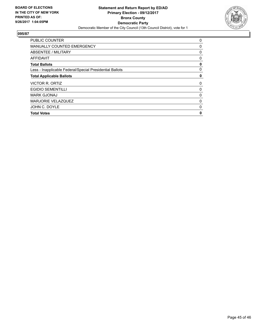

| <b>PUBLIC COUNTER</b>                                    | 0            |
|----------------------------------------------------------|--------------|
| <b>MANUALLY COUNTED EMERGENCY</b>                        | 0            |
| ABSENTEE / MILITARY                                      | 0            |
| <b>AFFIDAVIT</b>                                         | 0            |
| <b>Total Ballots</b>                                     | 0            |
| Less - Inapplicable Federal/Special Presidential Ballots | 0            |
| <b>Total Applicable Ballots</b>                          | 0            |
| VICTOR R. ORTIZ                                          | 0            |
| <b>EGIDIO SEMENTILLI</b>                                 | 0            |
| <b>MARK GJONAJ</b>                                       | 0            |
| MARJORIE VELAZQUEZ                                       | 0            |
| JOHN C. DOYLE                                            | 0            |
| <b>Total Votes</b>                                       | $\mathbf{0}$ |